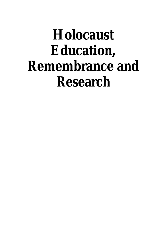# **Holocaust Education, Remembrance and Research**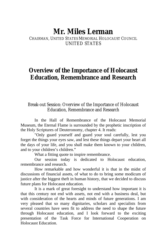### **Mr. Miles Lerman**

CHAIRMAN, UNITED STATES MEMORIAL HOLOCAUST COUNCIL UNITED STATES

### **Overview of the Importance of Holocaust Education, Remembrance and Research**

#### Break-out Session: Overview of the Importance of Holocaust Education, Remembrance and Research

In the Hall of Remembrance of the Holocaust Memorial Museum, the Eternal Flame is surrounded by the prophetic inscription of the Holy Scriptures of Deuteronomy, chapter 4. It reads:

"Only guard yourself and guard your soul carefully, lest you forget the things your eyes saw, and lest these things depart your heart all the days of your life, and you shall make them known to your children, and to your children's children."

What a fitting quote to inspire remembrance.

Our session today is dedicated to Holocaust education, remembrance and research.

How remarkable and how wonderful it is that in the midst of discussions of financial assets, of what to do to bring some modicum of justice after the biggest theft in human history, that we decided to discuss future plans for Holocaust education.

It is a mark of great foresight to understand how important it is that this century not end with assets, not end with a business deal, but with consideration of the hearts and minds of future generations. I am very pleased that so many dignitaries, scholars and specialists from several countries have seen fit to address the need to shape the future through Holocaust education, and I look forward to the exciting presentation of the Task Force for International Cooperation on Holocaust Education.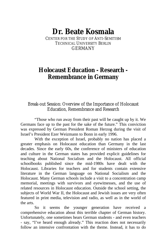# **Dr. Beate Kosmala**

CENTER FOR THE STUDY OF ANTI-SEMITISM TECHNICAL UNIVERSITY BERLIN GERMANY

### **Holocaust Education - Research - Remembrance in Germany**

#### Break-out Session: Overview of the Importance of Holocaust Education, Remembrance and Research

"Those who run away from their past will be caught up by it. We Germans face up to the past for the sake of the future." This conviction was expressed by German President Roman Herzog during the visit of Israel's President Ezer Weizmann to Bonn in early 1996.

With the exception of Israel, probably no nation has placed a greater emphasis on Holocaust education than Germany in the last decades. Since the early 60s, the conference of ministers of education and culture in the German states has provided explicit guidelines for teaching about National Socialism and the Holocaust. All official schoolbooks published since the mid-1980s have dealt with the Holocaust. Libraries for teachers and for students contain extensive literature in the German language on National Socialism and the Holocaust. Many German schools include a visit to a concentration camp memorial, meetings with survivors and eyewitnesses, and the use of related resources in Holocaust education. Outside the school setting, the subjects of World War II, the Holocaust and Jewish issues are very often featured in print media, television and radio, as well as in the world of the arts.

So it seems the younger generation have received a comprehensive education about this terrible chapter of German history. Unfortunately, one sometimes hears German students - and even teachers - say, "I've heard enough already." This reaction does not necessarily follow an intensive confrontation with the theme. Instead, it has to do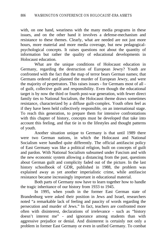with, on one hand, weariness with the many media programs in these issues, and on the other hand it involves a defense-mechanism and resistance to these themes. Clearly, what are needed are not just more hours, more material and more media coverage, but new pedagogicalpsychological concepts. It raises questions not about the quantity of information but rather the quality of educational developments in Holocaust education.

What are the unique conditions of Holocaust education in Germany, regarding the destruction of European Jewry? Youth are confronted with the fact that the map of terror bears German names; that Germans ordered and planned the murder of European Jewry, and were the majority of perpetrators. This raises issues - for Germans most of all of guilt, collective guilt and responsibility. Even though the educational target is by now the third or fourth post-war generation, with fewer direct family ties to National Socialism, the Holocaust theme draws sometimes resistance, characterized by a diffuse guilt-complex. Youth often feel as if they have been held collectively responsible, on an international stage. To reach this generation, to prepare them for intensive confrontations with this chapter of history, concepts must be developed that take into account this feeling, and that tie in to the lifestyles and thought patterns of youth.

Another situation unique to Germany is that until 1989 there were two German nations, in which the Holocaust and National Socialism were handled quite differently. The official antifascist policy of East Germany was like a political religion, built on concepts of guilt and pardon. With National Socialism subsumed under Fascism and with the new economic system allowing a distancing from the past, questions about German guilt and complicity faded out of the picture. In the last history schoolbook of GDR, published in 1988, the problem was explained away as yet another imperialistic crime, while antifascist resistance became increasingly important in educational material.

Both parts of Germany now have to learn together how to handle the tragic inheritance of our history from 1933 to 1945.

In 1995, when youth in the former East German state of Brandenburg were asked their position in Jews and Israel, researchers noted "a remarkable lack of feeling and paucity of words regarding the persecution and murder of Jews." In fact, teachers are confronted more often with disinterest, declarations of irrelevance - such as "history doesn't interest me" - and ignorance among students than with aggressive prejudice or denial. And disinterest is certainly not only a problem in former East Germany or even in unified Germany. To combat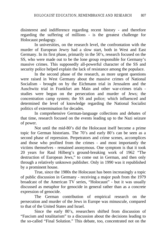disinterest and indifference regarding recent history - and therefore regarding the suffering of millions - is the greatest challenge for Holocaust pedagogy.

In universities, on the research level, the confrontation with the murder of European Jewry had a slow start, both in West and East Germany. In its first phase, primarily in the 50's, research focused on the SS, who were made out to be the lone group responsible for Germany's massive crimes. This supposedly all-powerful character of the SS and security police helped explain the lack of resistance among the populace.

In the second phase of the research, as more urgent questions were raised in West Germany about the massive crimes of National Socialism - brought on by the Eichmann trial in Jerusalem and the Auschwitz trial in Frankfurt am Main and other war-crimes trials studies were begun on the persecution and murder of Jews; the concentration camp system; the SS and police; which influenced and determined the level of knowledge regarding the National Socialist politics of extermination for decades.

In comprehensive German-language collections and debates of that time, research focused on the events leading up to the Nazi seizure of power.

Not until the mid-80's did the Holocaust itself become a prime topic for German historians. The 70's and early 80's can be seen as a second phase of repression. Perpetrators and crime scenes, accomplices and those who profited from the crimes - and most importantly the victims themselves - remained anonymous. One symptom is that it took 20 years for Raul Hilberg's ground-breaking work of 1962 "The destruction of European Jews," to come out in German, and then only through a relatively unknown publisher. Only in 1990 was it republished by a prominent house.

True, since the 1980s the Holocaust has been increasingly a topic of public discussion in Germany - receiving a major push from the 1979 broadcast of the American TV series, "Holocaust" - but it was usually discussed as metaphor for genocide in general rather than as a concrete expression of genocide.

The German contribution of empirical research on the persecution and murder of the Jews in Europe was minuscule, compared to that of the United States and Israel.

Since the early 80's, researchers shifted from discussion of "Fascism and totalitarism" to a discussion about the decisions leading to the so-called "Final Solution." This debate, too, concentrated not on the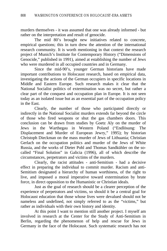murders themselves - it was assumed that one was already informed - but rather on the interpretation and result of genocide.

The mid 80's brought new initiatives related to concrete, empirical questions; this in turn drew the attention of the international research community. It is worth mentioning in that context the research project of Munich's Institute for Contemporary History ("Dimensions of Genocide," published in 1991), aimed at establishing the number of Jews who were murdered in all occupied countries and in Germany.

Since the mid-90's, younger German historians have made important contributions to Holocaust research, based on empirical data, investigating the actions of the German occupiers in specific locations in Middle and Eastern Europe. Such research makes it clear that the National Socialist politics of extermination was no secret, but rather a clear part of the conquest and occupation plan in Europe. It is not seen today as an isolated issue but as an essential part of the occupation policy in the East.

Clearly, the number of those who participated directly or indirectly in the National Socialist murders extends far beyond the circle of those who fired weapons or shut the gas chambers doors. This conclusion can be drawn from studies by Goetz Aly on the murder of Jews in the Warthegau in Western Poland ("Endlösung: The Displacement and Murder of European Jewry," 1995); by historian Christoph Dieckman on the mass murder of Jews of Lithuania; Christian Gerlach on the occupation politics and murder of the Jews of White Russia, and the works of Dieter Pohl and Thomas Sandkühler on the socalled "Final Solution" in Galicia (1996), all of which describe the circumstances, perpetrators and victims of the murders.

Clearly, the racist attitudes - anti-Semitism - had a decisive effect in preparing the individual to commit murder. Racism and anti-Semitism designated a hierarchy of human worthiness, of the right to live, and imposed a moral imperative toward extermination by brute force, in direct opposition to the Humanistic or Christian ideals.

Just as the goal of research should be a clearer perception of the experience of perpetrators and victims, so should it be a central goal for Holocaust education that those whose lives were devalued should not be nameless and undefined, not simply referred to as the "victims," but rather as individuals with their own history and identity.

At this point I want to mention still another project. I myself am involved in research at the Center for the Study of Anti-Semitism in Berlin, regarding the phenomenon of help and rescue for Jews in Germany in the face of the Holocaust. Such systematic research has not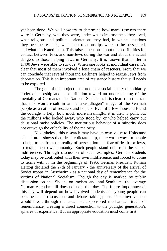yet been done. We will now try to determine how many rescuers there were in Germany, who they were, under what circumstances they lived, what religious and political orientations they had, in which situations they became rescuers, what their relationships were to the persecuted, and what motivated them. This raises questions about the possibilities for contact between Jews and non-Jews during the war and about the actual dangers to those helping Jews in Germany. It is known that in Berlin 1,400 Jews were able to survive. When one looks at individual cases, it's clear that most of them involved a long chain of rescuers. From that we can conclude that several thousand Berliners helped to rescue Jews from deportation. This is an important area of resistance history that still needs to be explored.

The goal of this project is to produce a social history of solidarity under dictatorship and a contribution toward an understanding of the mentality of Germans under National Socialism. It is clear from the start that this won't result in an "anti-Goldhagen" image of the German people as a nation of rescuers and helpers. Even if a few thousand found the courage to help, how much more meaningful it is then to point out the millions who looked away, who stood by, or who helped carry out delusional racist policies. The meritorious behavior of a minority does not outweigh the culpability of the majority.

Nevertheless, this research may have its own value to Holocaust education. It shows that, despite dictatorship, there was a way for people to help, to confront the reality of persecution and fear of death for Jews, to retain their own humanity. Such people stand out from the sea of indifference. Through discussion of such examples, German students today may be confronted with their own indifference, and forced to come to terms with it. In the beginnings of 1996, German President Roman Herzog declared the 27th of January - the anniversary of the arrival of Soviet troops in Auschwitz - as a national day of remembrance for the victims of National Socialism. Though the day is marked by public discussion on the Shoah, on racism and anti-Semitism, the average German calendar still does not note this day. The future importance of this day will depend on how involved students and young people can become in the discussions and debates taking place. Their involvement would break through the usual, state-sponsored mechanical rituals of remembrance, creating a direct connection to the younger generation's spheres of experience. But an appropriate education must come first.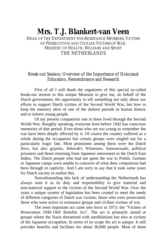# **Mrs. T.J. Blankert-van Veen**

HEAD OF THE DEPARTMENT FOR RESISTANCE MEMBERS, VICTIMS OF PERSECUTION AND CIVILIAN VICTIMS OF WAR, MINISTRY OF HEALTH, WELFARE AND SPORT THE NETHERLANDS

#### Break-out Session: Overview of the Importance of Holocaust Education, Remembrance and Research

First of all I will thank the organizers of this special so-called break-out session in this unique Museum to give me, on behalf of the Dutch government, the opportunity to tell something not only about our efforts to support Dutch victims of the Second World War, but how to keep the memory alive of one of the darkest periods in human history and to inform young people.

Of my present compatriots one in three lived through the Second World War. Roughly speaking, everyone born before 1942 has conscious memories of that period. Even those who are too young to remember the war have been deeply affected by it. Of course the country suffered as a whole during the occupation but certain groups were singled out for a particularly tragic fate. Most prominent among them were the Dutch Jews, but also gypsies, Jehovah's Witnesses, homosexuals, political prisoners and those returning from Japanese internment in the Dutch East Indies. The Dutch people who had not spent the war in Polish, German or Japanese camps were unable to conceive of what their compatriots had been through in captivity. And I am sorry to say that it took some years for Dutch society to realize this.

Notwithstanding this lack of understanding the Netherlands has always seen it as its duty and responsibility to give material and non-material support to the victims of the Second World War. Over the years a unique system of legislation has been created to meet the needs of different categories of Dutch war victims: those who were prosecuted; those who were active in resistance groups and civilian victims of war.

The most important act came into force in 1973: the "Victims of Persecution 1940-1945 Benefits Act". The act is primarily aimed at groups whom the Nazis threatened with annihilations but also at victims of the Japanese occupation. In terms of its scope the act is unique. It still provides benefits and facilities for about 30,000 people. Most of them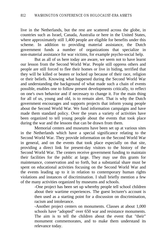live in the Netherlands, but the rest are scattered across the globe, in countries such as Israel, Canada, Australia or here in the United States, where approximately still 1,400 people are eligible for benefits under this scheme. In addition to providing material assistance, the Dutch government funds a number of organizations that specialize in non-material assistance for war victims, for example psycho-social help.

But as all of us here today are aware, we seem not to have learnt our lesson from the Second World War. People still oppress others and people are still forced to flee their homes or live in hiding, terrified that they will be killed or beaten or locked up because of their race, religion or their beliefs. Knowing what happened during the Second World War and understanding the background of what made such a chain of events possible, enables one to follow present developments critically, to reflect on one's own behavior and if necessary to change it. For the main thing for all of us, young and old, is to remain alert. That is why the Dutch government encourages and supports projects that inform young people about the Second World War. We fund information campaigns and have made them standard policy. Over the years a variety of activities have been organized to tell young people about the events that took place during the war and the lessons that can be drawn from them.

Memorial centers and museums have been set up at various sites in the Netherlands which have a special significance relating to the Second World War. They provide information on the Second World War in general, and on the events that took place especially on that site, providing a direct link for present-day visitors to the history of the Second World War. The centers receive government funding to maintain their facilities for the public at large. They may use this grants for maintenance, conservation and so forth, but a substantial share must be spent on educational activities focusing on the Second World War and the events leading up to it in relation to contemporary human rights violations and instances of discrimination. I shall briefly mention a few of the many activities organized by museums and schools.

> -One project has been set up whereby people tell school children about their wartime experiences. The guest lecturer's account is then used as a starting point for a discussion on discrimination, racism and intolerance.

> -Another project centers on monuments. Classes at about 1,000 schools have "adopted" over 650 war and resistance monuments. The aim is to tell the children about the event that "their" monument commemorates, and to make them understand its relevance today.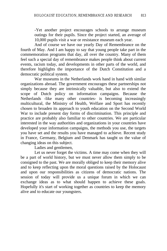-Yet another project encourages schools to arrange museum outings for their pupils. Since the project started, an average of 10,000 pupils visit a war or resistance museum each year.

And of course we have our yearly Day of Remembrance on the fourth of May. And I am happy to say that young people take part in the commemoration programs that day, all over the country. Many of them feel such a special day of remembrance makes people think about current events, racism today, and developments in other parts of the world, and therefore highlights the importance of the Dutch Constitution and a democratic political system.

War museums in the Netherlands work hand in hand with similar organizations abroad. The government encourages these partnerships not simply because they are intrinsically valuable, but also to extend the scope of Dutch policy on information campaigns. Because the Netherlands -like many other countries- is becoming increasingly multicultural, the Ministry of Health, Welfare and Sport has recently chosen to broaden its approach to youth education on the Second World War to include present day forms of discrimination. This principle and practice are probably also familiar to other countries. We are particular interested in the way authorities and organizations in your countries have developed your information campaigns, the methods you use, the targets you have set and the results you have managed to achieve. Recent study in France, Germany, Belgium and Denmark has taught us the value of changing ideas on this subject.

Ladies and gentlemen,

Let us never forget the victims. A time may come when they will be a part of world history, but we must never allow them simply to be consigned to the past. We are morally obliged to keep their memory alive and to keep reflecting upon the moral questions raised by the Holocaust and upon our responsibilities as citizens of democratic nations. The session of today will provide us a unique forum in which we can exchange ideas as to what should happen to achieve these goals. Hopefully it's start of working together as countries to keep the memory alive and to educate our youngsters.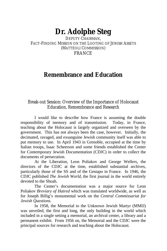# **Dr. Adolphe Steg**

DEPUTY CHAIRMAN FACT-FINDING MISSION ON THE LOOTING OF JEWISH ASSETS (MATTÉOLI COMMISSION) FRANCE

### **Remembrance and Education**

#### Break-out Session: Overview of the Importance of Holocaust Education, Remembrance and Research

I would like to describe how France is assuming the double responsibility of memory and of transmission. Today, in France, teaching about the Holocaust is largely organized and overseen by the government. This has not always been the case, however. Initially, the decimated, ravaged, and exsanguine Jewish community itself was able to put memory to use. In April 1943 in Grenoble, occupied at the time by Italian troops, Isaac Scheerson and some friends established the Center for Contemporary Jewish Documentation (CDJC) in order to collect the documents of persecution.

At the Liberation, Leon Poliakov and George Wellers, the directors of the CDJC at the time, established substantial archives, particularly those of the SS and of the Gestapo in France. In 1946, the CDJC published *The Jewish World,* the first journal in the world entirely devoted to the Shoah.

The Center's documentation was a major source for Leon Poliakov *Breviary of Hatred* which was translated worldwide, as well as for Joseph Billig's monumental work on the *Central Commissariat for Jewish Questions.*

In 1958, the Memorial to the Unknown Jewish Martyr (MMIJ) was unveiled, the first and long, the only building in the world which included in a single setting a memorial, an archival center, a library and a permanent exhibit. From 1956 on, the Memorial and the CDJC were the principal sources for research and teaching about the Holocaust.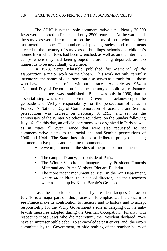The CDJC is not the sole commemorative site. Nearly 76,000 Jews were deported in France and only 2500 returned. At the war's end, the survivors were determined to set the memory of those who had been massacred in stone. The numbers of plaques, steles, and monuments erected to the memory of survivors on buildings, schools and children's homes from which Jews had been wrenched, as well as on the internment camps where they had been grouped before being deported, are too numerous to be individually cited here.

In 1978, Serge Klarsfeld published *his Memorial of the Deportation*, a major work on the Shoah. This work not only carefully inventories the names of deportees, but also serves as a tomb for all those who have disappeared, often without a trace. As early as 1954, a "National Day of Deportation " to the memory of political, resistance, and racial deportees was established. But it was only in 1990, that an essential step was taken: The French Government acknowledged the genocide and Vichy's responsibility for the persecution of Jews in France. A National Day of Commemoration of racist and anti-Semitic persecutions was decreed on February 3, 1993, and set for the anniversary of the Winter Velodrome round-up, on the Sunday following July 16. On this day, an official ceremony was organized in Paris as well as in cities all over France that were also requested to set commemorative plates to the racial and anti-Semitic persecutions of 1940 and 1944. The State thus initiated a deliberate policy of placing commemorative plates and erecting monuments.

Here we might mention the sites of the principal monuments.

- The camp at Drancy, just outside of Paris.
- The Winter Velodrome, inaugurated by President Francois Mitterand and Prime Minister Edouard Balladur.
- The more recent monument at Izieu, in the Ain Department, where 44 children, their school director, and their teachers were rounded up by Klaus Barbie's Gestapo.

Last, the historic speech made by President Jacques Chirac on July 16 is a major part of this process. He emphasized his concern to see France make its contribution to memory and to history and to accept responsibility for the Vichy Government's role in carrying out the anti-Jewish measures adopted during the German Occupation. Finally, with respect to those Jews who did not return, the President declared, "We have an imprescriptible debt. To acknowledge past errors, and the errors committed by the Government, to hide nothing of the somber hours of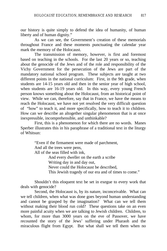our history is quite simply to defend the idea of humanity, of human liberty and of human dignity."

As we can see, the Government's creation of these memorials throughout France and these moments punctuating the calendar year mark the memory of the Holocaust.

The transmission of memory, however, is first and foremost based on teaching in the schools. For the last 20 years or so, teaching about the genocide of the Jews and of the role and responsibility of the Vichy Government for the persecution of the Jews are part of the mandatory national school program. These subjects are taught at two different points in the national curriculum: First, in the 9th grade, when students are 14-15 years old and then in the senior year of high school, when students are 16-19 years old. In this way, every young French person knows something about the Holocaust, from an historical point of view. While we can, therefore, say that in France, we have the means to reach the Holocaust, we have not yet resolved the very difficult question of "how" to teach it, and more specifically, how to teach it to children. How can we describe an altogether singular phenomenon that is at once inexpressible, incomprehensible, and unthinkable?

First, this is a phenomenon for which there are no words. Manes Sperber illustrates this in his paraphrase of a traditional text in the liturgy of Whitsun:

> "Even if the firmament were made of parchment, And all the trees were pens, All of the seas filled with ink, And every dweller on the earth a scribe Writing day in and day out, Never could the Holocaust be described, This Jewish tragedy of our era and of times to come."

Shouldn't this eloquent text be set in exegue to every work that deals with genocide?

Second, the Holocaust is, by its nature, inconceivable. What can we tell children, when what was done goes beyond human understanding and cannot be grasped by the imagination? What can we tell them without making their blood run cold? These questions take on an even more painful acuity when we are talking to Jewish children. Children, to whom, for more than 3000 years on the eve of Passover, we have recounted the story of the Jews' suffering under Pharaoh and the miraculous flight from Egypt. But what shall we tell them when no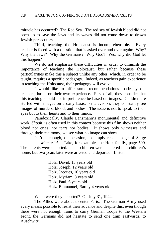miracle has occurred? The Red Sea. The red sea of Jewish blood did not open up to save the Jews and its waves did not come down to drown Jewish persecutors.

Third, teaching the Holocaust is incomprehensible. Every teacher is faced with a question that is asked over and over again: Why? Why the Jews? Why the Germans? Why God? Yes, why did God let this happen?

We do not emphasize these difficulties in order to diminish the importance of teaching the Holocaust, but rather because these particularities make this a subject unlike any other, which, in order to be taught, requires a specific pedagogy. Indeed, as teachers gain experience in teaching the Holocaust, their pedagogy will evolve.

I would like to offer some recommendations made by our teachers, based on their own experience. First of all, they consider that this teaching should not in preference be based on images. Children are stuffed with images on a daily basis; on television, they constantly see images of murders, blood, and bodies. The issue is not to speak to their eyes but to their hearts and to their minds.

Paradoxically, Claude Lanzmann's monumental and definitive work, *Shoah,* is often used in this context because this film shows neither blood nor cries, nor tears nor bodies. It shows only witnesses and through their testimony, we see what no image can show.

Isn't it enough, on occasion, to simply read a page of Serge *Memorial*. Take, for example, the Holz family, page 590. The parents were deported. Their children were sheltered in a children's home, but two years later were arrested and deported. Listen:

> Holz, David, 13 years old Holz, Joseph, 12 years old Holz, Jacques, 10 years old Holz, Myriam, 8 years old Holz, Paul, 6 years old Holz, Emmanuel, Barely 4 years old.

When were they deported? On July 31, 1944.

The Allies were about to enter Paris. The German Army used every means possible to resist their advance and despite this, even though there were not enough trains to carry German troops to the Western Front, the Germans did not hesitate to send one train eastwards, to Auschwitz.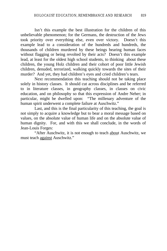Isn't this example the best illustration for the children of this unbelievable phenomenon; for the Germans, the destruction of the Jews took priority over everything else, even over victory. Doesn't this example lead to a consideration of the hundreds and hundreds, the thousands of children murdered by these beings bearing human faces without flagging or being revolted by their acts? Doesn't this example lead, at least for the oldest high school students, to thinking about these children, the young Holz children and their cohort of poor little Jewish children, denuded, terrorized, walking quickly towards the sites of their murder? And yet, they had children's eyes and cried children's tears.

Next recommendation this teaching should not be taking place solely in history classes. It should cut across disciplines and be referred to in literature classes, in geography classes, in classes on civic education, and on philosophy so that this expression of Andre Neher; in particular, might be dwelled upon: "The millenary adventure of the human spirit underwent a complete failure at Auschwitz."

Last, and this is the final particularity of this teaching, the goal is not simply to acquire a knowledge but to bear a moral message based on values, on the absolute value of human life and on the absolute value of human dignity. For, and with this we shall conclude, in the words of Jean-Louis Forges:

"After Auschwitz, it is not enough to teach about Auschwitz, we must teach against Auschwitz."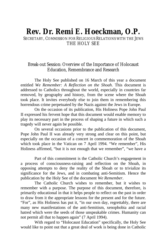### **Rev. Dr. Remi E. Hoeckman, O.P.**

SECRETARY, COMMISSION FOR RELIGIOUS RELATIONS WITH THE JEWS THE HOLY SEE

#### Break-out Session: Overview of the Importance of Holocaust Education, Remembrance and Research

The Holy See published on 16 March of this year a document entitled *We Remember: A Reflection on the Shoah*. This document is addressed to Catholics throughout the world, especially in countries far removed, by geography and history, from the scene where the Shoah took place. It invites everybody else to join them in remembering this horrendous crime perpetuated by the Nazis against the Jews in Europe.

On the occasion of its publication, His Holiness Pope John Paul II expressed his fervent hope that this document would enable memory to play its necessary part in the process of shaping a future in which such a tragedy will never again be possible.

On several occasions prior to the publication of this document, Pope John Paul II was already very strong and clear on this point, but especially on the occasion of a concert in commemoration of the Shoah which took place in the Vatican on 7 April 1994. "We remember", His Holiness affirmed, "but it is not enough that we remember", "we have a

Part of this commitment is the Catholic Church's engagement in a process of consciousness-raising and reflection on the Shoah, in opposing attempts to deny the reality of the Shoah or to trivialize its significance for the Jews, and in combating anti-Semitism. Hence the publication by the Holy See of the document *We Remember*.

The Catholic Church wishes to remember, but it wishes to remember with a purpose. The purpose of this document, therefore, is primarily educational in that it helps people to reflect on the past in order to draw from it the appropriate lessons for the present and for the future. "For", as His Holiness has put it, "in our own day, regrettably, there are many new manifestations of the anti-Semitism, xenophobia and racial hatred which were the seeds of those unspeakable crimes. Humanity can not permit all that to happen again" (7 April 1994).

With regard to "Holocaust Education" specifically, the Holy See would like to point out that a great deal of work is being done in Catholic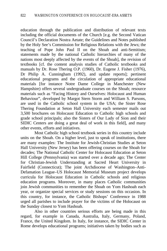education through the publication and distribution of relevant texts including the official documents of the Church [e.g. the Second Vatican Council's Declaration Nostra Aetate; the Guidelines and Notes published by the Holy See's Commission for Religious Relations with the Jews; the teaching of Pope John Paul II on the Shoah and anti-Semitism; statements made by the national Catholic hierarchies of many of the nations most deeply affected by the events of the Shoah], the revision of textbooks [cf. the content analysis studies of Catholic textbooks and manuals by Dr. Rose Thering O.P. (1960), Dr. Eugene J. Fisher (1976), Dr Philip A. Cunningham (1992), and update reports]; pertinent educational programs and the circulation of appropriate educational materials [for instance Notre Dame College in Manchester (New Hampshire) offers several undergraduate courses on the Shoah; resource materials such as "Facing History and Ourselves: Holocaust and Human Behaviour", developed by Margot Stern Storm and William S. Parsons, are used in the Catholic school system in the USA; the Sister Rose Thering Foundation at Seton Hall University each semester mails out 3,500 brochures on Holocaust Education to Catholic high schools and grade school principals; also the Sisters of Our Lady of Sion and their SIDIC Centers are doing a great deal of work in this field], and many other events, efforts and initiatives.

Most Catholic high school textbook series in this country include units on the Shoah. On a higher level, just to speak of institutions, there are many examples: The Institute for Jewish-Christian Studies at Seton Hall University (New Jersey) has been offering courses on the Shoah for decades; The National Catholic Center for Holocaust Education at Seton Hill College (Pennsylvania) was started over a decade ago; The Center for Christian-Jewish Understanding at Sacred Heart University in Fairfield (Connecticut); The joint Archdiocese of Washington–Anti-Defamation League–US Holocaust Memorial Museum project develops curricula for Holocaust Education in Catholic schools and religious education programs. Moreover, in many places Catholic communities join Jewish communities to remember the Shoah on Yom Hashoah each year, or organize special services or study sessions on this occasion. In this country, for instance, the Catholic Bishops' Conference in 1988 urged all parishes to include prayer for the victims of the Holocaust on the Sunday closest to Yom Hashoah.

Also in other countries serious efforts are being made in this regard, for example in Canada, Australia, Italy, Germany, Poland, France, the United Kingdom. In Italy, for instance, the SIDIC Center in Rome develops educational programs; initiatives taken by bodies such as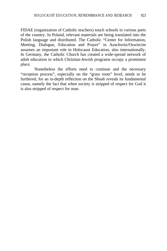FIDAE (organization of Catholic teachers) touch schools in various parts of the country. In Poland, relevant materials are being translated into the Polish language and distributed. The Catholic "Center for Information, Meeting, Dialogue, Education and Prayer" in Auschwitz/Oswiecim assumes an important role in Holocaust Education, also internationally. In Germany, the Catholic Church has created a wide-spread network of adult education in which Christian-Jewish programs occupy a prominent place.

Nonetheless the efforts need to continue and the necessary "reception process", especially on the "grass roots" level, needs to be furthered, for an in-depth reflection on the Shoah reveals its fundamental cause, namely the fact that when society is stripped of respect for God it is also stripped of respect for man.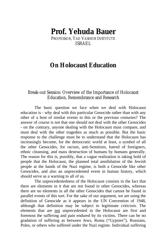# **Prof. Yehuda Bauer**

PROFESSOR, YAD VASHEM INSTITUTE ISRAEL

### **On Holocaust Education**

#### Break-out Session: Overview of the Importance of Holocaust Education, Remembrance and Research

The basic question we face when we deal with Holocaust education is - why deal with this particular Genocide rather than with any other of a host of similar events in this or the previous centuries? The answer of course is not that one should not deal with the other Genocides - on the contrary, anyone dealing with the Holocaust must compare, and must deal with the other tragedies as much as possible. But the basic response to the challenge must be to understand that the Holocaust has increasingly become, for the democratic world at least, a symbol of all the other Genocides, for racism, anti-Semitism, hatred of foreigners, ethnic cleansing, and mass destruction of humans by humans generally. The reason for this is, possibly, that a vague realization is taking hold of people that the Holocaust, the planned total annihilation of the Jewish people at the hands of the Nazi regime, is both a Genocide like other Genocides, and also an unprecedented event in human history, which should serve as a warning to all of us.

The unprecedentedness of the Holocaust consists in the fact that there are elements in it that are not found in other Genocides, whereas there are no elements in all the other Genocides that cannot be found in parallel events of this sort. For the sake of our argument, we are using the definition of Genocide as it appears in the UN Convention of 1948, although that definition may be subject to legitimate criticism. The elements that are not unprecedented in the Holocaust are first and foremost the suffering and pain endured by its victims. There can be no gradation of suffering as between Jews, Roma ("Gypsies"), Russians, Poles, or others who suffered under the Nazi regime. Individual suffering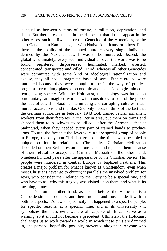is equal as between victims of torture, humiliation, deprivation, and death. But there are elements in the Holocaust that do not appear in the other cases, such as Rwanda, or the Genocide of the Armenians, or the auto-Genocide in Kampuchea, or with Native Americans, or others. First, there is the totality of the planned murder: every single individual defined by the Nazis as Jewish was to be murdered. Second, the globality: ultimately, every such individual all over the world was to be found, registered, dispossessed, humiliated, marked, arrested, concentrated, transported and killed. Third, whereas all other Genocides were committed with some kind of ideological rationalization and excuse, they all had a pragmatic basis of sorts. Ethnic groups were murdered because they were thought to be in the way of political programs, or military plans, or economic and social ideologies aimed at reorganizing society. With the Holocaust, the ideology was based on pure fantasy: an imagined world Jewish conspiracy to control the globe; the idea of Jewish "blood" contaminating and corrupting cultures, ritual murder accusations, and the like. One only needs to think of the fact that the German authorities in February 1943 took trained Jewish armament workers from their factories in the Berlin area, put them on trains and shipped them to Auschwitz to be killed - after the German defeat at Stalingrad, when they needed every pair of trained hands to produce arms. Fourth, the fact that the Jews were a very special group of people in Europe, the only non-Christian group at the time, who occupied a unique position in relation to Christianity. Christian civilization depended on their Scriptures on the one hand, and rejected them because of their refusal to accept the Christian Messiah on the other hand. Nineteen hundred years after the appearance of the Christian Savior, His people were murdered in Central Europe by baptized heathens. This creates a major problem for what is known as Christendom, even when most Christians never go to church; it parallels the unsolved problem for Jews, who consider their relation to the Deity to be a special one, and who have to ask why this tragedy was visited upon them, and what is its meaning, if any.

Yet on the other hand, as I said before, the Holocaust is a Genocide similar to others, and therefore can and must be dealt with in both its aspects: it's Jewish specificity - it happened to a specific people, for specific reasons, at a specific time; and in its universality - it symbolizes the mass evils we are all capable of. It can serve as a warning, so it should not become a precedent. Ultimately, the Holocaust challenges us to work towards a world in which these evils are dammed in, and perhaps, hopefully, possibly, prevented altogether. Anyone who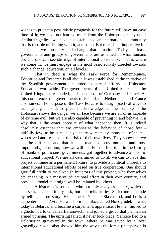wishes to project a pessimistic prognosis for the future will have an easy time of it; we have not learned much from the Holocaust, or any other similar tragedies; we have not established an international community that is capable of dealing with it, and so on. But there is an imperative for all of us: we must try and change that situation. Today, at least, governments and groups of governments are ashamed of what humans do, and one can see stirrings of international conscience. That is where we come in: we must engage in the most basic activity directed towards such a change: education, on all levels.

That in deed is what the Task Force for Remembrance, Education and Research is all about. It was established at the initiative of the Swedish government, in order to spread efforts at Holocaust Education worldwide. The governments of the United States and the United Kingdom responded, and then those of Germany and Israel. At this conference, the governments of Poland, the Netherlands and France also joined. The purpose of the Task Force is to design practical ways to teach young and old, to spread the knowledge that the example of the Holocaust shows the danger we all face because we are all of us capable of extreme evil; but we are also capable of preventing it, and behave in a way that is the exact opposite of what happened then. It is indeed absolutely essential that we emphasize the behavior of those few pitifully few, to be sure, but yet there were many thousands of them who saved and rescued at the risk of their own lives. They show that we can be different, and that it is a matter of environment, and most importantly, education, how we will act. For the first time in the history of mankind politicians, governments, got together to advance a specific educational project. We are all determined to do all we can to have this project continue as a permanent fixture: to provide a political umbrella to international educational efforts based on true cooperation. One should give full credit to the Swedish initiators of this project, who themselves are engaging in a massive educational effort in their own country, and provide a model that might well be imitated by others.

A historian is someone who not only analyzes history, which of course is his/her primary task, but also tells stories. So let me conclude by telling a true story. His name is Yankele Skorochod, and he is a carpenter in Tel-Aviv. He was born in a place called Novogrudek in what today is Belarus, and became a carpenter's apprentice. He then moved to a ghetto in a town called Baranovichi, and joined a group that planned an armed uprising. The uprising failed, it never took place. Yankele fled to a Belorussian graveyard in the town, where he was saved by a local gravedigger, who also showed him the way to the forest (that person is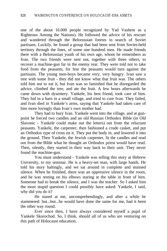one of the about 16.000 people recognized by Yad Vashem as a Righteous Among the Nations). He followed the advice of his rescuer and wandered through the Belorussian forests in search of Soviet partisans. Luckily, he found a group that had been sent from Soviet-held territory through the lines, of some one hundred men. He made friends there with a Belorussian youth of his own age, whom he remembers as Ivan. The two friends were sent out, together with three others, to recover a machine-gun far in the enemy rear. They were told not to take food from the peasants, for fear the peasants would turn against the partisans. The young men-boys became very, very hungry. Ivan saw a tree with some fruit - they did not know what that fruit was. The others told him not to eat it, but Ivan was so famished that he disregarded the advice, climbed the tree, and ate the fruit. A few hours afterwards he came down with dysentery. Yankele, his best friend, took care of him. They hid in a barn in a small village, and tried to cure Ivan. They failed, and Ivan died in Yankele's arms, saying that Yankele had taken care of him more lovingly than Ivan's own mother had.

They had to bury Ivan. Yankele went into the village, and at gunpoint he forced two candles and an old Russian Orthodox Bible (in Old Slavonic - Yankele could make out the letters) out from the reluctant peasants. Yankele, the carpenter, then fashioned a crude casket, and put an Orthodox type of cross on it. They put the body in, and lowered it into the ground. Then Yankele, the Jewish carpenter, lit the candles and read out from the Bible what he thought an Orthodox priest would have read. Then, silently, they started in their way back to their unit. They never found the machine-gun.

You must understand - Yankele was telling this story at Hebrew University, to my seminar. He is a heavy-set man, with large hands. He told his story haltingly, and we sat around in complete and stunned silence. When he finished, there was an oppressive silence in the room, and he was resting on his elbows staring at the table in front of him. Someone had to break the silence, and I was the teacher. So I asked him the most stupid question I could possibly have asked: Yankele, I said, why did you do it?

He stared at me, uncomprehendingly, and after a while he stammered: but...but...he would have done the same for me, had it been the other way round.

Ever since then, I have always considered myself a pupil of Yankele Skorochod. So, I think, should all of us who are venturing on this path of Holocaust education.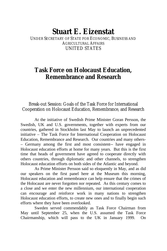### **Stuart E. Eizenstat**

UNDER SECRETARY OF STATE FOR ECONOMIC, BUSINESS AND AGRICULTURAL AFFAIRS UNITED STATES

### **Task Force on Holocaust Education, Remembrance and Research**

Break-out Session: Goals of the Task Force for International Cooperation on Holocaust Education, Remembrance, and Research

At the initiative of Swedish Prime Minister Goran Persson, the Swedish, UK and U.S. governments, together with experts from our countries, gathered in Stockholm last May to launch an unprecedented initiative – The Task Force for International Cooperation on Holocaust Education, Remembrance and Research. Our countries and many others- – Germany among the first and most consistent-- have engaged in Holocaust education efforts at home for many years. But this is the first time that heads of government have agreed to cooperate directly with others countries, through diplomatic and other channels, to strengthen Holocaust education efforts on both sides of the Atlantic and beyond.

As Prime Minister Persson said so eloquently in May, and as did our speakers on the first panel here at the Museum this morning, Holocaust education and remembrance can help ensure that the crimes of the Holocaust are never forgotten nor repeated. As this century comes to a close and we enter the new millennium, our international cooperation can encourage and reinforce work in many nations to strengthen Holocaust education efforts, to create new ones and to finally begin such efforts where they have been overlooked.

Sweden served commendably as Task Force Chairman from May until September 25, when the U.S. assumed the Task Force Chairmanship, which will pass to the UK in January 1999. On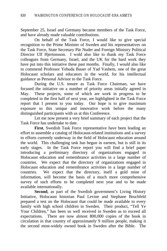September 25, Israel and Germany became members of the Task Force, and have already made valuable contributions.

On behalf of the Task Force, I would like to give special recognition to the Prime Minister of Sweden and his representatives on the Task Force, State Secretary Pär Nuder and Foreign Ministry Political Director Ulf Hjertonsson. I wold also like to thank my Task Force colleagues from Germany, Israel, and the UK for the hard work they have put into this initiative these past months. Finally, I would also like to commend Professor Yehuda Bauer of Yad Vashem, one of the great Holocaust scholars and educators in the world, for his intellectual guidance as Personal Advisor to the Task Force.

During the U.S. tenure as Task Force Chairman, we have focused the initiative on a number of priority areas initially agreed in May. These projects, some of which are work in progress to be completed in the first half of next year, are highlighted in the Task Force report that I present to you today. Our hope is to give maximum exposure to this unique and innovative work before the many distinguished participants with us at this Conference.

Let me now present a very brief summary of each project that the Task Force has undertake to date.

**First**, Swedish Task Force representative have been leading an effort to assemble a catalog of Holocaust-related institutions and a survey to efforts currently underway in the field of Holocaust education around the world. This challenging task has begun in earnest, but is still in its early stages. In the Task Force report you will find a brief paper introducing a preliminary directory of organizations engaged in Holocaust education and remembrance activities in a large number of countries. We expect that the directory of organizations engaged in Holocaust education and remembrance activities in a large number of countries. We expect that the directory, itself a gold mine of information, will become the basis of a much more comprehensive survey of such efforts to be completed next year and to be made available internationally.

**Second**, as part of the Swedish government's Living History Initiative, Holocaust historian Paul Levine and Stephane Bruchfeld prepared a test on the Holocaust that could be made available to every family with high school children in Sweden. Their product, "Tell Ye Your Children," has been so well received in Sweden as to exceed all expectations. There are now almost 800,000 copies of the book in circulation in that country of approximately 9 million people, making it the second most-widely owned book in Sweden after the Bible. The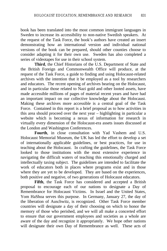book has been translated into the most common immigrant languages in Sweden to increase its accessibility to non-native Swedish speakers. At the request of the Task Force, the book's authors have created an insert demonstrating how an international version and individual national versions of the book can be prepared, should other counties choose to consider adapting it for their own use. Sweden has also completed a series of videotapes for use in their school system.

**Third**, the Chief Historians of the U.S. Department of State and the British Foreign and Commonwealth Office will produce, at the request of the Task Force, a guide to finding and using Holocaust-related archives with the intention that it be employed as a tool by researchers and educators. The recent opening of archives bearing on the Holocaust, and in particular those related to Nazi gold and other looted assets, have made accessible millions of pages of material recent years and have had an important impact on our collective knowledge about the Holocaust. Making these archives more accessible is a central goal of the Task Force. Contained in this report is a brief proposal as to how activities in this area should proceed over the next year – highlighting in particular a website which is becoming a nexus of information for research in virtually every dimension of the Holocaust-era assets issues discussed at the London and Washington Conferences.

**Fourth**, in close consultation with Yad Vashem and U.S. Holocaust Memorial Museum, the UK has led the effort to develop a set of internationally applicable guidelines, or best practices, for use in teaching about the Holocaust. In crafting the guidelines, the Task Force looked to those institutions with the most extensive experience in navigating the difficult waters of teaching this emotionally charged and intellectually taxing subject. The guidelines are intended to facilitate the work of educators both in places where programs exist and in those where they are yet to be developed. They are based on the experiences, both positive and negative, of two generations of Holocaust educators.

**Fifth**, the Task Force has considered and accepted a British proposal to encourage each of our nations to designate a Day of Remembrance for Holocaust Victims. In Israel and the United States, Yom HaShoa serves this purpose. In Germany, January 27, the day of the liberation of Auschwitz, is recognized. Other Task Force member countries will designate a day of their choosing on which to honor the memory of those who perished, and we will all make a concerted effort to ensure that our government employees and societies as a whole are aware of the day and recognize it appropriately. We hope other nations will designate their own Day of Remembrance as well. These acts of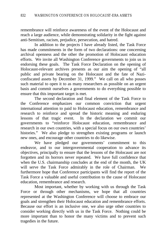remembrance will reinforce awareness of the event of the Holocaust and reach a large audience, while demonstrating solidarity in the fight against anti-Semitism, racism, prejudice, persecution, and hatred.

In addition to the projects I have already listed, the Task Force has made commitments in the form of two declarations: one concerning archival openness and the other the promotion of Holocaust education efforts. We invite all Washington Conference governments to join us in endorsing these goals. The Task Force Declaration on the opening of Holocaust-relevant archives presents as our aim the opening of "all public and private bearing on the Holocaust and the fate of Naziconfiscated assets by December 31, 1999." We call on all who posses such material to open it to as many researchers as possible on an urgent basis and commit ourselves a governments to do everything possible to ensure that this important target is met.

The second declaration and final element of the Task Force to the Conference emphasizes our common conviction that urgent international attention to paid to Holocaust education, remembrance and research to reinforce and spread the historic meaning and enduring lessons of that tragic event. In the declaration we commit our governments to "reinforce Holocaust education, remembrance and research in our own countries, with a special focus on our own countries' histories." We also pledge to strengthen existing programs or launch new ones, and encourage other countries to do likewise.

We have pledged our governments' commitment to this endeavor, and to our intergovernmental cooperation to advance its objectives, principally to ensure that the lessons of the Holocaust are not forgotten and its horrors never repeated. We have full confidence that when the U.S. chairmanship concludes at the end of the month, the UK will serve the Task Force admirably in the role of Chairman. We furthermore hope that Conference participants will find the report of the Task Force a valuable and useful contribution to the cause of Holocaust education, remembrance and research.

Most important, whether by working with us through the Task Force or through other mechanisms, we hope that all countries represented at the Washington Conference will choose to embrace our goals and strengthen their Holocaust education and remembrance efforts. Because our effort is an inclusive one, we also urge other countries to consider working directly with us in the Task Force. Nothing could be more important than to honor the many victims and to prevent such tragedies in the future.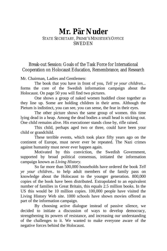# **Mr. Pär Nuder**

#### STATE SECRETARY, PRIME'S MINISTER'S OFFICE SWEDEN

#### Break-out Session: Goals of the Task Force for International Cooperation on Holocaust Education, Remembrance, and Research

Mr. Chairman, Ladies and Gentlemen:

The book that you have in front of you, *Tell* y*e your children...* forms the core of the Swedish information campaign about the Holocaust. On page 50 you will find two pictures.

One shows a group of naked women huddled close together as they line up. Some are holding children in their arms. Although the Pietum is indistinct, you can see, you can sense, the fear in their eyes.

The other picture shows the same group of women. this time lying dead in a heap. Among the dead bodies a small head is sticking out. One child remains alive. His executioner stands close by, rifle raised.

This child, perhaps aged two or three, could have been your child or grandchild.

These terrible events, which took place fifty years ago on the continent of Europe, must never ever be repeated. The Nazi crimes against humanity must never ever happen again.

Motivated by this conviction, the Swedish Government, supported by broad political consensus, initiated the information campaign known as *Living History.*

So far more than 500,000 households have ordered the book *Tell ye your children..* to help adult members of the family pass on knowledge about the Holocaust to the younger generation. 800,000 copies of the book have been distributed. Extrapolated to an equivalent number of families in Great Britain, this equals 2.5 million books. In the US this would be 10 million copies. 100,000 people have visited the Living History Web site. 1000 schools have shown movies offered as part of the information campaign.

By choosing active dialogue instead of passive silence, we decided to initiate a discussion of ways to develop democracy, strengthening its powers of resistance, and increasing our understanding of the challenges to it. We wanted to make everyone aware of the negative forces behind the Holocaust.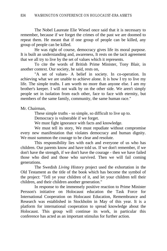The Nobel Laureate Elie Wiesel once said that it is necessary to remember, because if we forget the crimes of the past we are doomed to repeat them. He meant that if one group of people can be killed, any group of people can be killed.

He was right of course, democracy gives life its moral purpose. It is built an understanding and, awareness, It rests on the tacit agreement that we all try to live by the set of values which it represents.

To cite the words of British Prime Minister, Tony Blair, in another context. Our society, he said, rests on,

"A set of values- A belief in society. In co-operation. In achieving what we are unable to achieve alone. It is how I try to live my life. The simple truths. I am worth no more than anyone else. I am my brother's keeper. I will not walk by on the other side. We aren't simply people set in isolation from each other, face to face with eternity, but members of the same family, community, the same human race."

Mr. Chairman,

These simple truths - so simple, so difficult to live up to.

Democracy is vulnerable if we forget.

We must fight ignorance with facts and knowledge.

We must tell its story, We must repudiate without compromise every new manifestation that violates democracy and human dignity. We must summon the courage to be clear and resolute.

This responsibility lies with each and everyone of us who has children. Our parents know and have told us. If we don't remember, if we don't have the strength, if we don't have the courage - then we have failed those who died and those who survived. Then we will fail coming generations.

The Swedish *Living History* project used the exhortation in the Old Testament as the title of the book which has become the symbol of the project: "Tell ye your children of it, and let your children tell their children, and their children another generation."

In response to the immensely positive reaction to Prime Minister Persson's initiative on Holocaust education the Task Force for International Cooperation on Holocaust Education, Remembrance and Research was established in Stockholm in May of this year. It is a platform for international cooperation to spread knowledge about the Holocaust. This group will continue its work, in particular this conference has acted as an important stimulus for further action.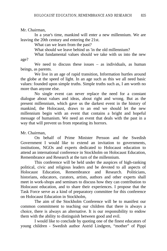Mr. Chairman,

In a year's time, mankind will enter a new millennium. We are leaving the 20th century and entering the 21st.

What can we learn from the past?

What should we leave behind us 'in the old millennium?

What fundamental values should we take with us into the new

age?

We need to discuss these issues – as individuals, as human beings, as parents.

We live in an age of rapid transition, Information hurtles around the globe at the speed of light. In an age such as this we all need basic values: founded upon simple truths. Simple truths such as, I am worth no more than anyone else.

No single event can never replace the need for a constant dialogue about values and ideas, about right and wrong. But as the present millennium, which gave us the darkest event in the history of mankind, the Holocaust, draws to an end we should let the new millennium begin with an event that contains a bright and hopeful message of humanism. We need an event that deals with the past in a way that will prevent us from repeating its horrors.

Mr. Chairman,

On behalf of Prime Minister Persson and the Swedish Government I would like to extend an invitation to governments, institutions, NGOs and experts dedicated to Holocaust education to attend an international conference in Stockholm on Holocaust Education, Remembrance and Research at the turn of the millennium.

This conference will be held under the auspices of high-ranking political, civic and religious leaders and be devoted to all aspects of Holocaust Education, Remembrance and Research. Politicians, historians, educators, curators, artists*,* authors and other experts shall meet in work-shops and seminars to discuss how they can contribution to Holocaust education, and to share their experiences. I propose that the Task Force serve as a kind of preparatory committee for this conference on Holocaust Education in Stockholm,

The aim of the Stockholm Conference will be to manifest our common commitment to teaching our children that there is always a choice, there is always an alternative. It is our responsibility to endow them with the ability to distinguish between good and evil.

I would like to conclude by quoting one of the finest educators of young children - Swedish author Astrid Lindgren, "mother" of Pippi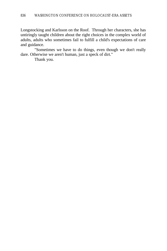Longstocking and Karlsson on the Roof. Through her characters, she has untiringly taught children about the right choices in the complex world of adults, adults who sometimes fail to fulfill a child's expectations of care and guidance.

"Sometimes we have to do things, even though we don't really dare. Otherwise we aren't human, just a speck of dirt."

Thank you.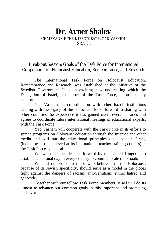## **Dr. Avner Shalev** CHAIRMAN OF THE DIRECTORATE, YAD VASHEM ISRAEL

### Break-out Session: Goals of the Task Force for International Cooperation on Holocaust Education, Remembrance, and Research

The International Task Force on Holocaust Education, Remembrance and Research, was established at the initiative of the Swedish Government. It is an exciting new undertaking which the Delegation of Israel, a member of the Task Force, enthusiastically supports.

Yad Vashem, in co-ordination with other Israeli institutions dealing with the legacy of the Holocaust, looks forward to sharing with other countries the experience it has gained over several decades and agrees to coordinate future international meetings of educational experts, with the Task Force.

Yad Vashem will cooperate with the Task Force in its efforts to spread programs on Holocaust education through the Internet and other media and will put the educational principles developed in Israel, (including those achieved at its international teacher training courses) at the Task Force's disposal.

We welcome the idea put forward by the United Kingdom to establish a national day in every country to commemorate the Shoah.

We add our voice to those who believe that the Holocaust, because of its Jewish specificity, should serve as a model in the global fight against the dangers of racism, anti-Semitism, ethnic hatred and genocide.

Together with our fellow Task Force members, Israel will do its utmost to advance our common goals in this important and promising endeavor.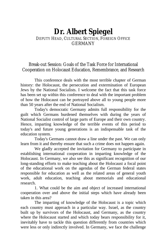## **Dr. Albert Spiegel** DEPUTY HEAD, CULTURAL SECTION, FOREIGN OFFICE GERMANY

### Break-out Session: Goals of the Task Force for International Cooperation on Holocaust Education, Remembrance, and Research

This conference deals with the most terrible chapter of German history: the Holocaust, the persecution and extermination of European Jews by the National Socialists. I welcome the fact that this task force has been set up within this conference to deal with the important problem of how the Holocaust can be portrayed above all to young people more than 50 years after the end of National Socialism.

Today's democratic Germany admits full responsibility for the guilt which Germans burdened themselves with during the years of National Socialist control of large parts of Europe and their own country. Hence, imparting knowledge of the terrible events of this period to today's and future young generations is an indispensable task of the education system.

Today's Germans cannot draw a line under the past. We can only learn from it and thereby ensure that such a crime does not happen again.

We gladly accepted the invitation for Germany to participate in establishing international cooperation in imparting knowledge of the Holocaust. In Germany, we also see this as significant recognition of our long-standing efforts to make teaching about the Holocaust a focal point of the educational work on the agendas of the German federal states responsible for education as well as the related areas of general youth work, adult education, teaching about memorials and educational research.

1. What could be the aim and object of increased international cooperation over and above the initial steps which have already been taken in this area?

The imparting of knowledge of the Holocaust is a topic which each country must approach in a particular way. Israel, as the country built up by survivors of the Holocaust, and Germany, as the country where the Holocaust started and which today bears responsibility for it, inevitably have to tackle this question differently from countries which were less or only indirectly involved. In Germany, we face the challenge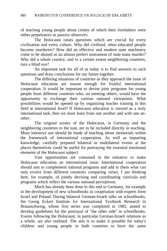of teaching young people about crimes of which their forefathers were either perpetrators or passive observers.

The Holocaust raises questions which are crucial for every civilization and every culture. Why did civilized, often educated people become murderers? How did an effective and modern state machinery come to be abused as an almost perfect instrument of state mass murder? Why did a whole country, and to a certain extent neighboring countries, turn a blind eve?

An important task for all of us today is to find answers to such questions and draw conclusions for our future together.

The differing situations of countries as they approach the issue of Holocaust education are reason enough for fruitful international cooperation. It would be important to devise joint programs for young people from different countries who, on meeting others, would have the opportunity to exchange their various national viewpoints. What possibilities would be opened up by organizing teacher training in this field at international level? If Holocaust education is viewed as a truly international task, then we must learn from one another and with one another.

The original scenes of the Holocaust, in Germany and the neighboring countries to the east, are to be included directly in teaching. More intensive use should be made of teaching about memorials within the framework of international cooperation. As well as imparting knowledge, carefully prepared bilateral or multilateral events at the places themselves could be useful for portraying the essential emotional elements of the Holocaust subject.

Vast opportunities are contained in the initiative to make Holocaust education an international issue. International cooperation should aim to complement national programs and add to them what can only evolve from different countries comparing views. I am thinking here, for example, of jointly devising and coordinating curricula and programs which reflect the various national perceptions.

Much has already been done to this end in Germany, for example in the development of new schoolbooks in cooperation with experts form Israel and Poland. During bilateral German-Israeli talks on schoolbooks, the Georg Eckert Institute for International Textbook Research in Braunschweig, whose first series was completed in 1985, aimed to develop guidelines for the portrayal of "the other side" in schoolbooks. Events following the Holocaust, in particular German-Israeli relations as a whole, are also outlined. The aim is to make it possible for today's children and young people in both countries to have the same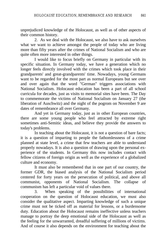unprejudiced knowledge of the Holocaust, as well as of other aspects of their common history.

2. As we deal with the Holocaust, we also have to ask ourselves what we want to achieve amongst the people of today who are living more than fifty years after the crimes of National Socialism and who are quite often more interested in other things.

I would like to focus briefly on Germany in particular with its specific situation. In Germany today, we have a generation which no longer feels directly involved with the crimes which took place in their grandparents' and great-grandparents' time. Nowadays, young Germans want to be regarded for the most part as normal Europeans but see over and over again that the word "German" triggers associations with National Socialism. Holocaust education has been a part of all school curricula for decades, just as visits to memorial sites have been. The Day to commemorate the victims of National Socialism on January 27 (the liberation of Auschwitz) and the night of the pogrom on November 9 are dates of remembrance all over Germany.

And yet in Germany today, just as in other European countries, there are some young people who feel attracted by extreme right sometimes anti-Semitic ideas, and believe they provide the answers to today's problems.

In teaching about the Holocaust, it is not a question of bare facts; it is a question of imparting to people the fathomlessness of a crime planned at state level, a crime that few teachers are able to understand properly nowadays. It is also a question of drawing upon the personal experience of the students. In Germany this now includes contact with fellow citizens of foreign origin as well as the experience of a globalized culture and economy.

It must also be remembered that in one part of our country, the former GDR, the biased analysis of the National Socialism period centered for forty years on the persecution of political, and above all communist, opponents of National Socialism. The collapse of communism has left a particular void of values there.

3. When speaking of the possibilities of international cooperation on the question of Holocaust education, we must also consider the qualitative aspect. Imparting knowledge of such a unique crime must not be ticked off as material for lessons, or a burdensome duty. Education about the Holocaust remains ineffective unless teachers manage to portray the deep emotional side of the Holocaust as well as the feeling for the unwarranted, dreadful suffering of millions of victims. And of course it also depends on the environment for teaching about the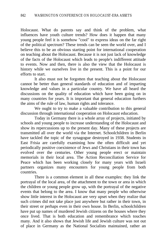Holocaust. What do parents say and think of the problem, what influences have youth culture trends? How does it happen that many young people feel it is somehow "cool" to express ideas on the far right of the political spectrum? These trends can be seen the world over, and I believe this to be an obvious starting point for international cooperation on teaching about the Holocaust. Because it is not just lack of knowledge of the facts of the Holocaust which leads to people's indifferent attitude to events. Now and then, there is also the view that the Holocaust is history while we ourselves live in the present. This is a point for our efforts to start.

It also must not be forgotten that teaching about the Holocaust cannot be better than general standards of education and of imparting knowledge and values in a particular country. We have all heard the discussions on the quality of education which have been going on in many countries for years. It is important that general education furthers the aims of the rule of law, human rights and tolerance.

We ought to try to make a valuable contribution to this general discussion through international cooperation on Holocaust education.

Today in Germany there is a whole array of projects, initiated by schools and young people to increase understanding of the Holocaust and show its repercussions up to the present day. Many of these projects are transmitted all over the world via the Internet. Schoolchildren in Berlin have tackled the topic of the synagogue destroyed in 1938. Students in East Frisia are carefully examining how the often difficult and yet periodically positive coexistence of Jews and Christians in their town has evolved over the centuries. Other young people erect or maintain memorials in their local area. The Action Reconciliation Service for Peace which has been working closely for many years with Israeli partners organizes many encounters for young people from both countries.

There is a common element in all these examples: they link the portrayal of the local area, of the attachment to the town or area in which the children or young people grow up, with the portrayal of the negative events that belong to the area. I know that many people who otherwise show little interest in the Holocaust are very upset when they realize that such crimes did not take place just anywhere but rather in their town, in their street or perhaps even in their own house. In Berlin, schoolchildren have put up names of murdered Jewish citizens on the houses where they once lived. That is both education and remembrance which touches many. And it also shows that Jewish life and Jewish culture was not out of place in Germany as the National Socialists maintained, rather an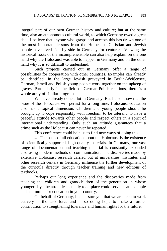integral part of our own German history and culture; but at the same time, also an autonomous cultural world, to which Germany owed a great deal. I believe that anyone who grasps and accepts this has drawn one of the most important lessons from the Holocaust: Christian and Jewish people have lived side by side in Germany for centuries. Viewing the historical roots of the incomprehensible can also help explain on the one hand why the Holocaust was able to happen in Germany and on the other hand why it is so difficult to understand.

Such projects carried out in Germany offer a range of possibilities for cooperation with other countries. Examples can already be identified. In the large Jewish graveyard in Berlin-Weißensee, German, Israeli and Polish young people work together on the upkeep of graves. Particularly in the field of German-Polish relations, there is a whole array of similar programs.

We have already done a lot in Germany. But I also know that the issue of the Holocaust will persist for a long time. Holocaust education also has a topical dimension. Children and young people should be brought up to cope responsibly with freedom, to be tolerant, to have a peaceful attitude towards other people and respect others in a spirit of international understanding. Only such an attitude guarantees that a crime such as the Holocaust can never be repeated.

This conference could help us to find new ways of doing this.

4. The basis of all education about the Holocaust is the existence of scientifically supported, high-quality materials. In Germany, our vast range of documentation and teaching material is constantly expanded also using modern methods of communication. The discoveries made by extensive Holocaust research carried out at universities, institutes and other research centers in Germany influence the further development of the curricula directly through teacher training and new editions of textbooks.

Perhaps our long experience and the discoveries made from teaching the children and grandchildren of the generation in whose younger days the atrocities actually took place could serve as an example and a stimulus for education in your country.

On behalf of Germany, I can assure you that we are keen to work actively in the task force and in so doing hope to make a further contribution to strengthening tolerance and human rights for the future.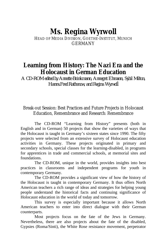# **Ms. Regina Wyrwoll**

HEAD OF MEDIA DIVISION, GOETHE-INSTITUT, MUNICH GERMANY

# **Learning from History: The Nazi Era and the Holocaust in German Education**

*A CD-ROM edited by Annette Brinkmann, Annegret Ehmann, Sybil Milton, Hanns.Fred Rathenow, and Regina Wyrwoll*

## Break-out Session: Best Practices and Future Projects in Holocaust Education, Remembrance and Research: Remembrance

The CD-ROM "Learning from History" presents (both in English and in German) 50 projects that show the varieties of ways that the Holocaust is taught in Germany's sixteen states since 1990. The fifty projects were selected from an extensive survey of Holocaust education activities in Germany. These projects originated in primary and secondary schools, special classes for the learning-disabled, in programs for apprentices in trade and commercial schools, at memorial sites and foundations.

The CD-ROM, unique in the world, provides insights into best practices in classrooms and independent programs for youth in contemporary Germany.

The CD-ROM provides a significant view of how the history of the Holocaust is taught in contemporary Germany. It thus offers North American teachers a rich range of ideas and strategies for helping young people understand the historical facts and continuing significance of Holocaust education in the world of today and tomorrow.

This survey is especially important because it allows North American teachers to enter into direct dialogue with their German counterparts.

Most projects focus on the fate of the Jews in Germany. Nevertheless, there are also projects about the fate of the disabled, Gypsies (Roma/Sinti), the White Rose resistance movement, perpetrator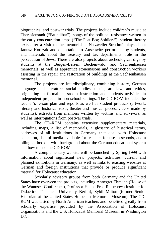biographies, and postwar trials. The projects include children's music at Theresienstadt ("Brundibar"), songs of the political resistance written in the early concentration amps ("The Peat Bog Soldiers"), student literary texts after a visit to the memorial at Natzweiler-Struthof, plays about Janusz Korczak and deportation to Auschwitz performed by students, and materials about the treasury and tax departments' role in the persecution of Jews. There are also projects about archeological digs by students at the Bergen-Belsen, Buchenwald, and Sachsenhausen memorials, as well as apprentice stonemasons and construction workers assisting in the repair and restoration of buildings at the Sachsenhausen memorial.

The projects are interdisciplinary, combining history, German language and literature, social studies, music, art, law, and ethics, originating in formal classroom instruction and students activities in independent projects in non-school settings. The CD-ROM includes the teacher's lesson plan and reports as well as student products (artwork, literary and historical texts, theater and musical pieces, videos made by students), extracts from memoirs written by victims and survivors, as well as interrogations from postwar trials.

The CD-ROM contains extensive supplementary materials, including maps, a list of memorials, a glossary of historical terms, addresses of all institutions in Germany that deal with Holocaust education, lists of media available for teachers for use in schools, and a bilingual booklet with background about the German educational system and how to use the CD-ROM.

A complementary website will be launched by Spring 1999 with information about significant new projects, activities, current and planned exhibitions in Germany, as well as links to existing websites at German and foreign institutions that provide or produce significant material for Holocaust education.

Scholarly advisory groups from both Germany and the United States have overseen the projects, including Annegret Ehmann (House of the Wannsee Conference), Professor Hanns-Fred Rathenow (Institute for Didactics, Technical University Berlin), Sybil Milton (former Senior Historian at the United States Holocaust Memorial Museum). The CD-ROM was tested by North American teachers and benefited greatly from scholarly expertise provided by the Association of Holocaust Organizations and the U.S. Holocaust Memorial Museum in Washington D.C.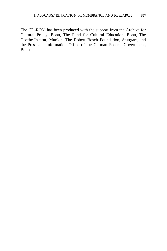The CD-ROM has been produced with the support from the Archive for Cultural Policy, Bonn, The Fund for Cultural Education, Bonn, The Goethe-Institut, Munich, The Robert Bosch Foundation, Stuttgart, and the Press and Information Office of the German Federal Government, Bonn.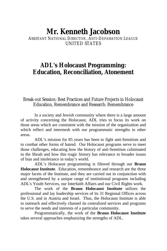# **Mr. Kenneth Jacobson**

## ASSISTANT NATIONAL DIRECTOR ANTI-DEFAMATION LEAGUE UNITED STATES

## **ADL's Holocaust Programming: Education, Reconciliation, Atonement**

## Break-out Session: Best Practices and Future Projects in Holocaust Education, Remembrance and Research: Remembrance

In a society and Jewish community where there is a large amount of activity concerning the Holocaust, ADL tries to focus its work on those areas which are consistent with the mission of the organization and which reflect and intermesh with our programmatic strengths in other areas.

ADL's mission for 85 years has been to fight anti-Semitism and to combat other forms of hatred. Our Holocaust programs serve to meet those challenges, educating how the history of anti-Semitism culminated in the Shoah and how this tragic history has relevance to broader issues of bias and intolerance in today's world.

ADL's Holocaust programming is filtered through our **Braun Holocaust Institute**. Education, remembrance and research are the three major facets of the Institute, and they are carried out in conjunction with and strengthened by a unique range of institutional programs including ADL's Youth Services, our Interfaith Affairs and our Civil Rights work.

The work of the **Braun Holocaust Institute** utilizes the professional and lay leadership services of its 31 Regional Offices across the U.S. and in Austria and Israel. Thus, the Holocaust Institute is able to outreach and effectively channel its centralized services and programs to serve the needs and interests of a particular community.

Programmatically, the work of the **Braun Holocaust Institute** takes several approaches emphasizing the strengths of ADL.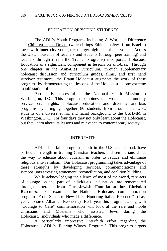#### EDUCATION OF YOUNG STUDENTS

The ADL's Youth Programs including A World of Difference and Children of the Dream (which brings Ethiopian Jews from Israel to meet with inner city youngsters) target high school age youth. Across the U.S., thousands of teachers and students (through peer training) and teachers through (Train the Trainer Programs) incorporate Holocaust Education as a significant component in lessons on anti-bias. Through one chapter in the Anti-Bias Curriculum, through supplementary holocaust discussion and curriculum guides, films, and first hand survivor testimony, the Braun Holocaust augments the work of these programs by demonstrating the lessons of the Holocaust as one extreme manifestation of hate.

Particularly successful is the National Youth Mission to Washington, D.C. This program combines the work of community service, civil rights, Holocaust education and diversity anti-bias programs by bringing together 80 students from around the U.S., students of a diverse ethnic and racial background to the USHMM in Washington, D.C. For four days they not only learn about the Holocaust, but they learn about its lessons and relevance to contemporary society.

#### INTERFAITH

ADL's interfaith programs, both in the U.S. and abroad, have particular strength in training Christian teachers and seminarians about the way to educate about Judaism in order to reduce and eliminate religious anti-Semitism. Our Holocaust programming takes advantage of these strengths by developing services, commemorations and symposiums stressing atonement, reconciliation, and coalition building.

While acknowledging the silence of most of the world, rare acts of courage on the part of individuals and nations are remembered through programs from **The Jewish Foundation for Christian Rescuers**. For example, the National Holocaust commemoration program "From Shoah to New Life: Honoring Italian Rescuers" (Last year, honored Albanian Rescuers.) Each year this program, along with "Courage to Care" commemoration will look at the rare and noble Christians and Moslems who assisted Jews during the Holocaust…individuals who made a difference.

A particularly impressive interfaith effort regarding the Holocaust is ADL's 'Bearing Witness Program.' This program targets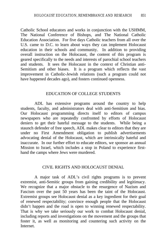Catholic School educators and works in conjunction with the USHMM, The National Conference of Bishops, and The National Catholic Education Association. For five days Catholic teachers from all over the U.S. came to D.C. to learn about ways they can implement Holocaust education in their schools and community. In addition to providing overall instruction on the Holocaust, the content of this program is geared specifically to the needs and interests of parochial school teachers and students. It sees the Holocaust in the context of Christian anti-Semitism and other biases. It is a program which reflects the vast improvement in Catholic-Jewish relations (such a program could not have happened decades ago), and fosters continued openness.

#### EDUCATION OF COLLEGE STUDENTS

ADL has extensive programs around the country to help students, faculty, and administrators deal with anti-Semitism and bias. Our Holocaust programming directs itself to editors of campus newspapers who are repeatedly confronted by efforts of Holocaust deniers to get their hateful message to the students. While being a staunch defender of free speech, ADL makes clear to editors that they are under no First Amendment obligation to publish advertisements advocating denial of the Holocaust, which are intrinsically hateful and inaccurate. In our further effort to educate editors, we sponsor an annual Mission to Israel, which includes a stop in Poland to experience firsthand the camps where Jews were murdered.

#### CIVIL RIGHTS AND HOLOCAUST DENIAL

A major task of ADL's civil rights programs is to prevent extremist, anti-Semitic groups from gaining credibility and legitimacy. We recognize that a major obstacle to the resurgence of Nazism and Fascism over the past 50 years has been the taint of the Holocaust. Extremist groups see Holocaust denial as a key ingredient for their goal of renewed respectability; convince enough people that the Holocaust didn't happen and the road is open to winning renewed respectability. That is why we take seriously our work to combat Holocaust denial, including reports and investigations on the movement and the groups that foster it, as well as monitoring and countering such activity on the **Internet**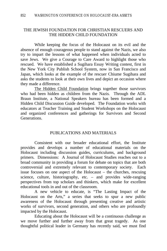#### THE JEWISH FOUNDATION FOR CHRISTIAN RESCUERS AND THE HIDDEN CHILD FOUNDATION

While keeping the focus of the Holocaust on its evil and the absence of enough courageous people to stand against the Nazis, we also try to impart the lessons of what happened when individuals acted to save Jews. We give a Courage to Care Award to highlight those who rescued. We have established a Sugihara Essay Writing contest, first in the New York City Publish School System, now in San Francisco and Japan, which looks at the example of the rescuer Chiume Sugihara and asks the students to look at their own lives and depict an occasion where they made a difference.

The Hidden Child Foundation brings together those survivors who had been hidden as children from the Nazis. Through the ADL Braun Institute, a National Speakers bureau has been formed and a Hidden Child Discussion Guide developed. The Foundation works with educators at Teacher Training and Student Workshops on the Holocaust and organized conferences and gatherings for Survivors and Second Generations.

#### PUBLICATIONS AND MATERIALS

Consistent with our broader educational effort, the Institute provides and develops a number of educational materials on the Holocaust including discussion guides, curriculums, and background primers. Dimensions: A Journal of Holocaust Studies reaches out to a broad community in providing a forum for debate on topics that are both controversial and extremely relevant to contemporary society. Each issue focuses on one aspect of the Holocaust – the churches, rescuing science, culture, historiography, etc. – and provides wide-ranging perspectives from top scholars and thinkers, which make for excellent educational tools in and out of the classroom.

A new vehicle to educate, is "The Lasting Impact of the Holocaust on the Arts," a series that seeks to spur a new public awareness of the Holocaust through presenting creative and artistic works of survivors, second generation, and others who are profoundly impacted by the Holocaust.

Educating about the Holocaust will be a continuous challenge as we move further and further away from that great tragedy. As one thoughtful political leader in Germany has recently said, we must find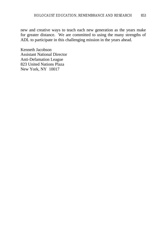new and creative ways to teach each new generation as the years make for greater distance. We are committed to using the many strengths of ADL to participate in this challenging mission in the years ahead.

Kenneth Jacobson Assistant National Director Anti-Defamation League 823 United Nations Plaza New York, NY 10017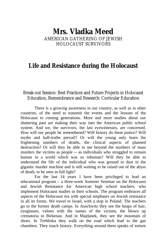## **Mrs. Vladka Meed** AMERICAN GATHERING OF JEWISH HOLOCAUST SURVIVORS

## **Life and Resistance during the Holocaust**

### Break-out Session: Best Practices and Future Projects in Holocaust Education, Remembrance and Research: Curricular Education

There is a growing awareness in our country, as well as in other countries, of the need to transmit the events and the lessons of the Holocaust to coming generations. More and more studies about our shattering past are making their way into the American public school system. And we, the survivors, the last eyewitnesses, are concerned. How will our people be remembered? Will history do them justice? Will myths and half-truths prevail? Or will the young only learn the frightening numbers of deaths, the clinical aspects of planned destruction? Or will they be able to see beyond the numbers of mass murders the victims as people -- as individuals who struggled to remain human in a world which was so inhuman? Will they be able to understand the life of the individual who was ground to dust in the gigantic murder machine and is still waiting to be raised out of the abyss of death, to be seen in full light?

For the last 14 years I have been privileged to lead an educational program – a three-week Summer Seminar on the Holocaust and Jewish Resistance for American high school teachers, who implement Holocaust studies in their schools. The program embraces all aspects of the Holocaust era with special emphases on Jewish resistance in all its forms. We travel to Israel, with a stop in Poland. The teachers go to the former death camps. In Auschwitz they see the heaps of hair, eyeglasses, valises with the names of the victims, the blown up crematoria in Birkenau. And in Majdanek, they see the mountain of shoes. In Treblinka they walk on the road which lead to the gas chambers. They touch history. Everything around them speaks of torture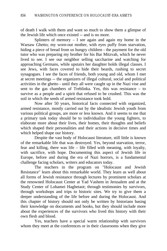of death I walk with them and want so much to show them a glimpse of the Jewish life which once existed -- and is no more.

Splinters of memory  $- I$  see again and again my home in the Warsaw Ghetto; my worn-out mother, with eyes puffy from starvation, hiding a piece of bread from us hungry children - the payment for the old tutor who was preparing my brother for his Bar Mitzvah, which he never lived to see. I see our neighbor selling saccharine and watching for approaching Germans, while upstairs her daughter holds illegal classes. I see Jews, with faces covered to hide their beards, rushing to secret synagogues. I see the faces of friends, both young and old, whom I met at secret meetings -- the organizers of illegal cultural, social and political activities in the ghetto - until they all were caught up in the Nazi vise and sent to the gas chambers of Treblinka. Yes, this was resistance – to survive as a people and a spirit that refused to be crushed. This was the soil in which the seeds of armed resistance took hold.

Now after 50 years, historical facts connected with organized, armed resistance, mostly carried out by the idealistic Jewish youth from various political groups, are more or less known. And it seems to me that a primary task today should be to individualize the young fighters, to elaborate more about their lives, their homes, their thoughts and beliefs which shaped their personalities and their actions in decisive times and which helped shape our history.

Despite the vast body of Holocaust literature, still little is known of the remarkable life that was destroyed. Yes, beyond starvation, terror, fear and killing, there was life – life filled with meaning, with loyalty, with sacrifice, with hope. Documenting this aspect of Jewish life in Europe, before and during the era of Nazi horrors, is a fundamental challenge facing scholars, writers and educators today.

The teachers in the program on "Holocaust and Jewish Resistance" learn about this remarkable world. They learn as well about all forms of Jewish resistance through lectures by prominent scholars at the renowned Holocaust Center at Yad Vashem in Jerusalem and at the Study Center of Lohamei Haghetaot; through testimonies by survivors, through workshops and trips to historic sites. We try to give them a deeper understanding of the life before and during the Holocaust. And this chapter of history should not only be written by historians basing their knowledge on documents and books, but they should include more about the experiences of the survivors who lived this history with their own flesh and blood.

Yes, teachers have a special warm relationship with survivors whom they meet at the conferences or in their classrooms when they give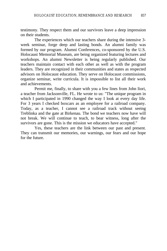testimony. They respect them and our survivors leave a deep impression on their students.

The experiences which our teachers share during the intensive 3 week seminar, forge deep and lasting bonds. An alumni family was formed by our program. Alumni Conferences, co-sponsored by the U.S. Holocaust Memorial Museum, are being organized featuring lectures and workshops. An alumni Newsletter is being regularly published. Our teachers maintain contact with each other as well as with the program leaders. They are recognized in their communities and states as respected advisors on Holocaust education. They serve on Holocaust commissions, organize seminar, write curricula. It is impossible to list all their work and achievements.

Permit me, finally, to share with you a few lines from John Iiori, a teacher from Jacksonville, FL. He wrote to us: "The unique program in which I participated in 1990 changed the way I look at every day life. For 3 years I checked boxcars as an employee for a railroad company. Today, as a teacher, I cannot see a railroad track without seeing Treblinka and the gate at Birkenau. The bond we teachers now have will not break. We will continue to teach, to bear witness, long after the survivors are gone. This is the mission we educators have accepted."

Yes, these teachers are the link between our past and present. They can transmit our memories, our warnings, our fears and our hope for the future.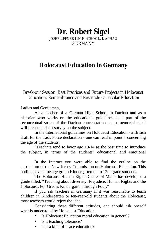# **Dr. Robert Sigel**

JOSEF EFFNER HIGH SCHOOL, DACHAU GERMANY

# **Holocaust Education in Germany**

Break-out Session: Best Practices and Future Projects in Holocaust Education, Remembrance and Research: Curricular Education

Ladies and Gentlemen,

As a teacher of a German High School in Dachau and as a historian who works on the educational guidelines as a part of the reconceptualization of the Dachau concentration camp memorial site I will present a short survey on the subject.

In the international guidelines on Holocaust Education - a British draft for the Task Force declaration - one can read in point 4 concerning the age of the students:

"Teachers tend to favor age 10-14 as the best time to introduce the subject, in terms of the students' educational and emotional

In the Internet you were able to find the outline on the curriculum of the New Jersey Commission on Holocaust Education. This outline covers the age group Kindergarten up to 12th grade students.

The Holocaust Human Rights Center of Maine has developed a guide titled, "Teaching about diversity, Prejudice, Human Rights and the Holocaust. For Grades Kindergarten through Four."

If you ask teachers in Germany if it was reasonable to teach children in Kindergarten or ten-year-old students about the Holocaust, most teachers would reject the idea.

Considering these different attitudes, one should ask oneself what is understood by Holocaust Education.

- Is Holocaust Education moral education in general?
- Is it teaching tolerance?
- Is it a kind of peace education?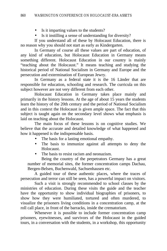- Is it imparting values to the students?
- Is it instilling a sense of understanding for diversity?

If you understand all of these by Holocaust Education, there is no reason why you should not start as early as Kindergarten.

In Germany of course all these values are part of education, of any kind of education, but Holocaust Education in Germany means something different. Holocaust Education in our country is mainly "teaching about the Holocaust." It means teaching and studying the historical period of National Socialism in Germany and Europe and the persecution and extermination of European Jewry.

In Germany as a federal state it is the 16 Länder that are responsible for education, schooling and research. The curricula on this subject however are not very different from each other.

Holocaust Education in Germany takes place mainly and primarily in the history lessons. At the age of about 15 years the students learn the history of the 20th century and the period of National Socialism and in this context the Holocaust is given ample space. The fact that this subject is taught again on the secondary level shows what emphasis is laid on teaching about the Holocaust.

The main focus of these lessons is on cognitive studies. We believe that the accurate and detailed knowledge of what happened and how it happened is the indispensable basis.

- The basis for a lasting emotional empathy.
- The basis to immunize against all attempts to deny the Holocaust.
- The basis to resist racism and neonazism.

Being the country of the perpetrators Germany has a great number of memorial sites, the former concentration camps Dachau, Bergen-Belsen, Buchenwald, Sachsenhausen etc.

A guided tour of these authentic places, where the traces of persecution and terror can still be seen, has a powerful impact on visitors.

Such a visit is strongly recommended to school classes by the ministries of education. During these visits the guide and the teacher have the opportunity to show individual biographies of prisoners, to show how they were humiliated, tortured and often murdered, to visualize the prisoners living conditions in a concentration camp, at the roll call place, in front of the barracks, inside the crematorium.

Whenever it is possible to include former concentration camp prisoners, eyewitnesses, and survivors of the Holocaust in the guided tours, in a conversation with the students, in a workshop, this opportunity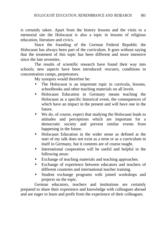is certainly taken. Apart from the history lessons and the visits to a memorial site the Holocaust is also a topic in lessons of religious education, literature and civics.

Since the founding of the German Federal Republic the Holocaust has always been part of the curriculum. It goes without saying that the treatment of this topic has been different and more intensive since the late seventies.

The results of scientific research have found their way into schools; new aspects have been introduced: rescuers, conditions in concentration camps, perpetrators.

My synopsis would therefore be:

- The Holocaust is an important topic in curricula, lessons, schoolbooks and other teaching materials on all levels.
- Holocaust Education in Germany means teaching the Holocaust as a specific historical event, the consequences of which have an impact in the present and will have one in the future.
- We do, of course, expect that studying the Holocaust leads to attitudes and perceptions which are important for a democratic society and prevent similar events from happening in the future.
- Holocaust Education in the wider sense as defined at the start of my talk does not exist as a term or as a curriculum in itself in Germany, but it contents are of course taught.
- International cooperation will be useful and helpful in the following areas:
- Exchange of teaching materials and teaching approaches.
- Exchange of experience between educators and teachers of different countries and international teacher training.
- Student exchange programs with joined workshops and projects on the topic.

German educators, teachers and institutions are certainly prepared to share their experience and knowledge with colleagues abroad and are eager to learn and profit from the experience of their colleagues.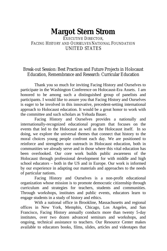# **Margot Stern Strom**

## EXECUTIVE DIRECTOR FACING HISTORY AND OURSELVES NATIONAL FOUNDATION UNITED STATES

## Break-out Session: Best Practices and Future Projects in Holocaust Education, Remembrance and Research: Curricular Education

Thank you so much for inviting Facing History and Ourselves to participate in the Washington Conference on Holocaust-Era Assets. I am honored to be among such a distinguished group of panelists and participants. I would like to assure you that Facing History and Ourselves is eager to be involved in this innovative, precedent-setting international approach to Holocaust education. It would be a great honor to work with the committee and such scholars as Yehuda Bauer.

Facing History and Ourselves provides a nationally and internationally-recognized educational program that focuses on the events that led to the Holocaust as well as the Holocaust itself. In so doing, we explore the universal themes that connect that history to the moral choices young people confront each day. We are positioned to reinforce and strengthen our outreach in Holocaust education, both in communities we already serve and in those where this vital education has been overlooked. Our core work builds public awareness of the Holocaust through professional development for with middle and high school educators – both in the US and in Europe. Our work is informed by our experience in adapting our materials and approaches to the needs of particular nations.

Facing History and Ourselves is a non-profit educational organization whose mission is to promote democratic citizenship through curriculum and strategies for teachers, students and communities. Through workshops, institutes and public events, educators learn to engage students in a study of history and ethics.

With a national office in Brookline, Massachusetts and regional offices in New York, Memphis, Chicago, Los Angeles, and San Francisco, Facing History annually conducts more than twenty 5-day institutes, over two dozen advanced seminars and workshops, and ongoing, technical assistance to teachers. Our Resource Center makes available to educators books, films, slides, articles and videotapes that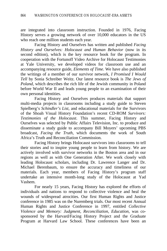are integrated into classroom instruction. Founded in 1976, Facing History serves a growing network of over 10,000 educators in the US who reach one million students each year.

Facing History and Ourselves has written and published *Facing History and Ourselves: Holocaust and Human Behavior* (now in its second edition), which is the key resource book for the program. In cooperation with the Fortunoff Video Archive for Holocaust Testimonies at Yale University, we developed videos for classroom use and an accompanying resource guide, *Elements of Time.* We have also published the writings of a member of our survivor network, *I Promised I Would Tell* by Sonia Schreiber Weitz. Our latest resource book is *The Jews of Poland*, which describes the rich life of the Jewish community in Poland before World War II and leads young people to an examination of their own personal identities.

Facing History and Ourselves produces materials that support multi-media projects in classrooms including a study guide to Steven Spielberg's *Schindler's List*, and educational materials for the Survivors of the Shoah Visual History Foundation's recent CD-ROM *Survivors: Testimonies of the Holocaust*. This summer, Facing History and Ourselves was selected by Public Affairs Television, Inc. to produce and disseminate a study guide to accompany Bill Moyers' upcoming PBS broadcast, *Facing the Truth*, which documents the work of South Africa's Truth and Reconciliation Commission.

Facing History brings Holocaust survivors into classrooms to tell their stories and to inspire young people to learn from history. We are actively involved with survivor networks in the Boston area and in our regions as well as with One Generation After. We work closely with leading Holocaust scholars, including Dr. Lawrence Langer and Dr. Michael Berenbaum, to ensure the accuracy and timeliness of our materials. Each year, members of Facing History's program staff undertake an intensive month-long study of the Holocaust at Yad Vashem.

For nearly 15 years, Facing History has explored the efforts of individuals and nations to respond to collective violence and heal the wounds of widespread atrocities. Our first Human Rights and Justice conference in 1985 was on the Nuremberg trials. Our most recent Annual Human Rights and Justice Conference in 1997, entitled *Collective Violence and Memory: Judgment, Reconciliation, Education,* was cosponsored by the Harvard/Facing History Project and the Graduate Program at Harvard Law School. These conferences have been an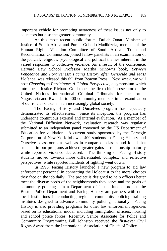important vehicle for promoting awareness of these issues not only to educators but also the greater community.

At this most recent public forum, Dullah Omar, Minister of Justice of South Africa and Pumla Gobodo-Madikizela, member of the Human Rights Violation Committee of South Africa's Truth and Reconciliation Commission, joined fellow panelists in an examination of the judicial, religious, psychological and political themes inherent in the varied responses to collective violence. As a result of the conference, Harvard Law School Professor Martha Minow's book, *Between Vengeance and Forgiveness: Facing History after Genocide and Mass Violence*, was released this fall from Beacon Press. Next week, we will host *Choosing to Participate: A Global Perspective*, a symposium which introduced Justice Richard Goldstone, the first chief prosecutor of the United Nations International Criminal Tribunals for the former Yugoslavia and Rwanda, to 400 community members in an examination of our role as citizens in an increasingly global society.

The Facing History and Ourselves program has repeatedly demonstrated its effectiveness. Since its inception, the program has undergone continuous external and internal evaluation. As a member of the National Diffusion Network, evaluation research was regularly submitted to an independent panel convened by the US Department of Education for validation. A current study sponsored by the Carnegie Corporation of New York followed 400 students in Facing History and Ourselves classrooms as well as in comparison classes and found that students in our programs achieved greater gains in relationship maturity while reported violence decreased. The thinking of Facing History students moved towards more differentiated, complex, and reflective perspectives, while reported incidents of fighting went down.

In 1996, Facing History launched a new program to aid law enforcement personnel in connecting the Holocaust to the moral choices they face on the job daily. The project is designed to help officers better meet the diverse needs of the neighborhoods they serve and the goals of community policing. In a Department of Justice-funded project, the Boston Police Department and Facing History are partners with other local institutions in conducting regional community policing training institutes designed to advance community policing nationally. Facing History is also providing programs for other law enforcement agencies based on its educational model, including immigration officers, housing and school police forces. Recently, Senior Associate for Police and Community Programming Bill Johnston received the first-ever Civil Rights Award from the International Association of Chiefs of Police.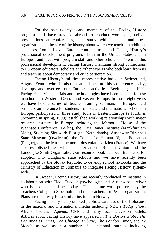For the past twenty years, members of the Facing History program staff have traveled abroad to conduct workshops, deliver presentations at conferences, and study with scholars and local organizations at the site of the history about which we teach. In addition, educators from all over Europe continue to attend Facing History's professional development programs—both in the United States and in Europe—and meet with program staff and other scholars. To enrich this professional development, Facing History maintains strong connections to European educators, scholars and other experts who both learn from us and teach us about democracy and civic participation.

Facing History's full-time representative based in Switzerland, August Zemo, who is also in attendance at this conference today, develops and oversees our European activities. Beginning in 1992, Facing History's materials and methodologies have been adapted for use in schools in Western, Central and Eastern Europe. In those eight years we have held a series of teacher training seminars in Europe; held seminars on tolerance for students from state and international schools in Europe; participated in three study tours in Eastern Europe (a fourth is upcoming in spring, 1999); established working relationships with major research institutes in Europe including the Memorial House of the Wannsee Conference (Berlin), the Fritz Bauer Institute (Frankfurt am Main), Stichting Sintiwerk Best (the Netherlands), Auschwitz-Birkenau State Museum (Oswiecim), the Center for Human Rights Education (Prague), and the Musee memorial des enfants d'izieu (France). We have also established ties with the International Romani Union and the Landelijke Siniti Organisatie. Our resource book has been translated for adoption into Hungarian state schools and we have recently been approached by the Slovak Republic to develop school textbooks and the Ministry of Education in Romania to integrate Facing History systemwide.

In Sweden, Facing History has recently conducted an institute in collaboration with Hedi Fried, a psychologist and Auschwitz survivor who is also in attendance today. The institute was sponsored by the Teachers College in Stockholm and the Teachers for Peace organization. Plans are underway for a similar institute in Norway.

Facing History has promoted public awareness of the Holocaust in the national and international media including NBC's *Today Show*, ABC's *American Agenda*, CNN and many local television outlets. Articles about Facing History have appeared in *The Boston Globe*, *The Los Angeles Times*, *The Chicago Tribune*, *The London Times*, and *Le Monde*, as well as in a number of educational journals, including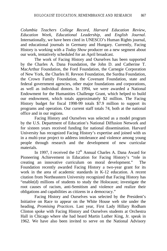*Columbia Teachers College Record*, *Harvard Education Review*, *Education Week*, *Educational Leadership,* and *English Journal*. Internationally, we have been cited in UNESCO's Human Rights journal, and educational journals in Germany and Hungary. Currently, Facing History is working with a *Today Show* producer on a new segment about our work, tentatively scheduled for an April broadcast.

The work of Facing History and Ourselves has been supported by the Charles A. Dana Foundation, the John D. and Catherine T. MacArthur Foundation, the Ford Foundation, the Carnegie Corporation of New York, the Charles H. Revson Foundation, the Surdna Foundation, the Crown Family Foundation, the Covenant Foundation, state and federal government agencies, other major foundations and corporations, as well as individual donors. In 1994, we were awarded a National Endowment for the Humanities Challenge Grant, which helped to build our endowment, which totals approximately \$2 million. The Facing History budget for fiscal 1998-99 totals \$7.9 million to support its programs and operation. Our current staff totals 74, both at the national office and in our regions.

Facing History and Ourselves was selected as a model program by the U.S. Department of Education's National Diffusion Network and for sixteen years received funding for national dissemination. Harvard University has recognized Facing History's expertise and joined with us in a multi-year project to address intolerance and violence among young people through research and the development of new curricular materials.

In 1997, I received the  $12<sup>th</sup>$  Annual Charles A. Dana Award for Pioneering Achievement in Education for Facing History's "role in creating an innovative curriculum on moral development." The Foundation recently awarded Facing History a two-year grant for its work in the area of academic standards in K-12 education. A recent citation from Northeastern University recognized that Facing History has "enable(d) millions of students to study the Holocaust; investigate the root causes of racism, anti-Semitism and violence and realize their obligations and capabilities as citizens in a democracy."

Facing History and Ourselves was selected by the President's Initiative on Race to appear on the White House web site under the heading, *Promising Practices*. Last year, First Lady Hillary Rodham Clinton spoke with Facing History and Ourselves students at Orchestra Hall in Chicago where she had heard Martin Luther King, Jr. speak in 1962. We have also been invited to serve on the National Advisory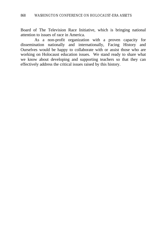Board of The Television Race Initiative, which is bringing national attention to issues of race in America.

As a non-profit organization with a proven capacity for dissemination nationally and internationally, Facing History and Ourselves would be happy to collaborate with or assist those who are working on Holocaust education issues. We stand ready to share what we know about developing and supporting teachers so that they can effectively address the critical issues raised by this history.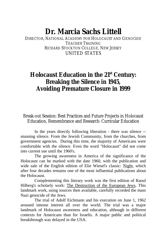# **Dr. Marcia Sachs Littell**

DIRECTOR, NATIONAL ACADEMY FOR HOLOCAUST AND GENOCIDE TEACHER TRAINING RICHARD STOCKTON COLLEGE, NEW JERSEY UNITED STATES

# **Holocaust Education in the 21st Century: Breaking the Silence in 1945, Avoiding Premature Closure in 1999**

Break-out Session: Best Practices and Future Projects in Holocaust Education, Remembrance and Research: Curricular Education

In the years directly following liberation - there was silence - stunning silence. From the Jewish Community, from the churches, from government agencies. During this time, the majority of Americans were comfortable with the silence. Even the word "Holocaust" did not come into current use until the 1960's.

The growing awareness in America of the significance of the Holocaust can be marked with the date 1960, with the publication and wide sale of the English edition of Elie Wiesel's classic: Night, which after four decades remains one of the most influential publications about the Holocaust.

Complementing this literary work was the first edition of Raoul Hilberg's scholarly work: The Destruction of the European Jews. This landmark work, using sources then available, carefully recorded the mass Nazi genocide of the Jews.

The trial of Adolf Eichmann and his execution on June 1, 1962 aroused intense interest all over the world. The trial was a major landmark of Holocaust awareness and education, although in different contexts for Americans than for Israelis. A major public and political breakthrough was delayed in the USA.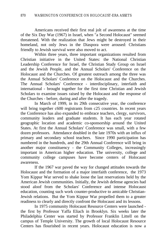Americans received their first real jolt of awareness at the time of the Six Day War (1967) in Israel, when "a Second Holocaust" seemed threatened. With the realization that Jews might be destroyed in their homeland, not only Jews in the Diaspora were aroused: Christians friendly to Jewish survival were also moved to act.

Within three years, three important organizations resulted from Christian initiative in the United States: the National Christian Leadership Conference for Israel, the Christian Study Group on Israel and the Jewish People, and the Annual Scholars' Conference on the Holocaust and the Churches. Of greatest outreach among the three was the Annual Scholars' Conference on the Holocaust and the Churches. The Annual Scholars' Conference - interdisciplinary, interfaith and international - brought together for the first time Christian and Jewish Scholars to examine issues raised by the Holocaust and the response of the Churches - before, during and after the tragedy.

In March of 1999, in its 29th consecutive year, the conference will bring together c600 registrants from c25 countries. In recent years the Conference has also expanded to embrace teachers, clergy, survivors, community leaders and graduate students. It has each year rotated geographic location and academic co-sponsorship around the United States. At first the Annual Scholars' Conference was small, with a few dozen professors. Attendance doubled in the late 1970s with an influx of primary and secondary school teachers. Since 1990 participation has numbered in the hundreds, and the 29th Annual Conference will bring in another major constituency - the Community Colleges, increasingly important in American higher education. The university, college and community college campuses have become centers of Holocaust awareness.

If the 1967 war paved the way for changed attitudes towards the Holocaust and the formation of a major interfaith conference, the 1973 Yom Kippur War served to shake loose the last reservations held by the American Jewish communities. Initially, the Jewish defense agencies had stood aloof from the Scholars' Conference and intense Holocaust education, counting such work counter-productive to amicable Christian-Jewish relations. But the Yom Kippur War propelled them to a greater readiness to clearly and directly confront the Holocaust and its lessons.

In 1975 community Holocaust Resource Centers were launched the first by Professor Yaffa Eliach in Brooklyn. Six weeks later the Philadelphia Center was started by Professor Franklin Littell on the campus of Temple University. The growth of local Holocaust Resource Centers has flourished in recent years. Holocaust education is now a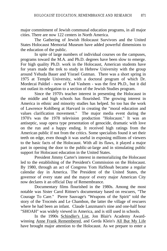major commitment of Jewish communal education programs, in all major cities. There are now 122 centers in North America.

The Gathering of Jewish Holocaust Survivors and the United States Holocaust Memorial Museum have added powerful dimensions to the education of the public.

In spite of large numbers of individual courses on the campuses, programs toward the M.A. and Ph.D. degrees have been slow to emerge. For high quality Ph.D. work in the Holocaust, American students have for years made the trek to study in Hebrew University with the group around Yehuda Bauer and Yisrael Gutman. There was a short spring in 1975 at Temple University, with a doctoral program of which Dr. Mordecai Paldiel - now of Yad Vashem - was the first Ph.D., but it did not outlast its relegation to a section of the Jewish Studies program.

Since the 1970's teacher interest in presenting the Holocaust in the middle and high schools has flourished. The growing interest in America in ethnic and minority studies has helped. So too has the work of Lawrence Kohlberg at Harvard in creating the "moral education and values clarification movement." The major media event during the 1970's was the 1978 television production "Holocaust." It was an antiseptic, soap opera type presentation of genocide, dramatic with love on the run and a happy ending. It received high ratings from the American public if not from the critics. Some specialists found it set their teeth on edge, even though it was useful in exposing millions of viewers to the basic facts of the Holocaust. With all its flaws, it played a major part in opening the door to the public-at-large and in stimulating public support for Holocaust education in the United States.

President Jimmy Carter's interest in memorializing the Holocaust led to the establishing of the President's Commission on the Holocaust. By 1980, through an act of Congress Yom HaShoah became a regular calendar day in America. The President of the United States, the governor of every state and the mayor of every major American City now declares it an official Day of Remembrance.

Documentary films flourished in the 1980s. Among the most notable was Sister Carol Rittner's documentary based on rescuers, "The Courage To Care." Pierre Sauvage's "Weapons of the Spirit" told the story of the Trocmés and Le Chambon, the latter the village of rescuers where he had been an infant. Claude Lanzmann's nine and one-half hour "SHOAH" was widely viewed in America, and is still used in schools.

In the 1990s Schindler's List, Jon Blair's Academy Awardwinning Anne Frank Remembered, and Gerda Klein's All But My Life have brought major attention to the Holocaust. As we prepare to enter a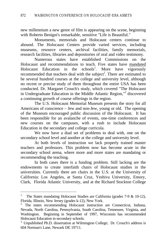new millennium a new genre of film is appearing on the scene, beginning with Roberto Benigni's remarkable, sensitive "Life is Beautiful."

Monuments, memorials and Holocaust centers continue to abound. The Holocaust Centers provide varied services, including museums, resource centers, archival facilities, family memorials, research facilities, libraries and depositories of oral and video testimony.

Numerous states have established Commissions on the Holocaust and recommendations to teach. Five states have mandated Holocaust Education in the schools<sup>1</sup>. More have vigorously recommended that teachers deal with the subject<sup>2</sup>. There are estimated to be several hundred courses at the college and university level, although no recent or precise study of them throughout the entire USA has been conducted. Dr. Margaret Crouch's study, which covered "The Holocaust in Undergraduate Education in the Middle Atlantic Region,"<sup>3</sup> discovered a continuing growth of course offerings in the region.

The U.S. Holocaust Memorial Museum presents the story for all Americans of conscience – Jew and non-Jew, young or old. The opening of the Museum encouraged public discussion of the Holocaust. It has been responsible for an avalanche of events, one-time conferences and new courses on the campuses, with a rush to include Holocaust Education in the secondary and college curricula.

We now have a dual set of problems to deal with, one on the secondary school level and another at the college and university level.

At both levels of instruction we lack properly trained master teachers and professors. This problem now has become acute in the secondary school arena, where more and more states are mandating or recommending the teaching.

In both cases there is a funding problem. Still lacking are the endowments to create interfaith chairs of Holocaust studies in the universities. Currently there are chairs in the U.S. at the University of California: Los Angeles, at Santa Cruz, Yeshiva University, Emory, Clark, Florida Atlantic University, and at the Richard Stockton College

 $\frac{1}{1}$ . The States mandating Holocaust Studies are California (grades 7-9 & 10-12), Florida, Illinois, New Jersey (grades k-12), New York.

<sup>&</sup>lt;sup>2.</sup> The states recommending Holocaust instruction are Connecticut, Indiana, Nevada, North Carolina, Pennsylvania, South Carolina, Tennessee, Virginia, and Washington. Beginning in September of 1997, Wisconsin has recommended Holocaust Education in secondary schools.

<sup>&</sup>lt;sup>3.</sup> Unpublished Ph.D. dissertation at Wilmington College; Dr. Crouch's address is 604 Norman's Lane, Newark DE 19711.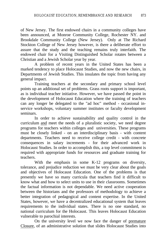of New Jersey. The first endowed chairs in a community colleges have been announced, at Monroe Community College, Rochester NY. and Brookdale Community College (New Jersey). Only at The Richard Stockton College of New Jersey however, is there a deliberate effort to assure that the study and the teaching remains truly interfaith. The endowed chair for a Visiting Distinguished Scholar rotates between a Christian and a Jewish Scholar year by year.

A problem of recent years in the United States has been a marked tendency to place Holocaust Studies, and now the new chairs, in Departments of Jewish Studies. This insulates the topic from having any general impact.

Training teachers at the secondary and primary school level points up an additional set of problems. Grass roots support is important, as is individual teacher initiative. However, we have passed the point in the development of Holocaust Education where the training of teachers can any longer be delegated to the "ad hoc" method - occasional inservice workshops, voluntary summer institutes or faculty development seminars.

In order to achieve sustainability and quality control in the curriculum and meet the needs of a pluralistic society, we need degree programs for teachers within colleges and universities. These programs must be closely linked - on an interdisciplinary basis - with content departments. Teachers need to receive college credit - with concrete consequences in salary increments - for their advanced work in Holocaust Studies. In order to accomplish this, a top level commitment is required with appropriate funds for resources and graduate training for teachers.

With the emphasis in some K-12 programs on diversity, tolerance, and prejudice reduction we must be very clear about the goals and objectives of Holocaust Education. One of the problems is that presently we have so many curricula that teachers find it difficult to know what and how to select units to use in their classrooms. Sometimes the factual information is not dependable. We need active cooperation between the historians and the professors of methodology to achieve a better integration of pedagogical and content expertise. In the United States, however, we have a decentralized educational system that leaves requirements to the individual states. There is no one standard, no national curriculum for the Holocaust. This leaves Holocaust Education vulnerable to parochial interests.

On the university level we now face the danger of premature Closure, of an administrative solution that slides Holocaust Studies into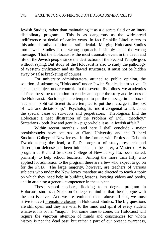Jewish Studies, rather than maintaining it as a discrete field or an interdisciplinary program. This is as dangerous as the widespread indifference or denial of earlier years. In fact Franklin Littell refers to this administrative solution as "soft" denial. Merging Holocaust Studies into Jewish Studies is the wrong approach. It simply sends the wrong message. That the Holocaust is the most traumatic event in the death and life of the Jewish people since the destruction of the Second Temple goes without saying. But study of the Holocaust is also to study the pathology of Western civilization and its flawed structures. It must not be hidden away by false bracketing of courses.

For university administrators, attuned to public opinion, the solution of subsuming "Holocaust" under Jewish Studies is attractive. It keeps the subject under control. In the several disciplines, we academics all face the same temptation to render antiseptic the story and lessons of the Holocaust. Sociologists are tempted to put the message in the box of "racism." Political Scientists are tempted to put the message in the box of "war and dictatorship." Psychologists find it congenial to talk about the special cases of survivors and perpetrators. Theologians find the Holocaust a neat illustration of the Problem of Evil: "theodicy." Sectarians - both Jew and gentile - pigeon-hole it as "a Jewish affair."

Within recent months - and here I shall conclude - major breakthroughs have occurred at Clark University and the Richard Stockton College of New Jersey. In the former, with Professor Deborah Dwork taking the lead, a Ph.D. program of study, research and dissertation defense has been initiated. In the latter, a Master of Arts program at Richard Stockton College of New Jersey has been started, primarily to help school teachers. Among the more than fifty who applied for admission to the program there are a few who expect to go on for the Ph.D. The large majority, however, are teachers of various subjects who under the New Jersey mandate are directed to teach a topic on which they need help in building lessons, locating videos and books, and in attaining a general competence in the subject.

These school teachers, flocking to a degree program in Holocaust studies at Stockton College, remind us that the dialogue with the past is alive. And we are reminded that, above all else, we must strive to avert premature closure in Holocaust Studies. The big questions are still open, and they are vital to the mind and spirit of every student whatever his or her "major." For some time to come, the Holocaust will require the vigorous attention of minds and consciences for whom history is not the dead past, but rather a part of our present awareness,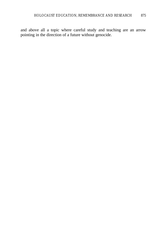and above all a topic where careful study and teaching are an arrow pointing in the direction of a future without genocide.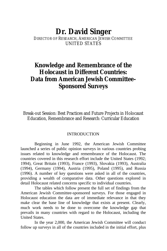# **Dr. David Singer**

# DIRECTOR OF RESEARCH, AMERICAN JEWISH COMMITTEE UNITED STATES

# **Knowledge and Remembrance of the Holocaust in Different Countries: Data from American Jewish Committee-Sponsored Surveys**

Break-out Session: Best Practices and Future Projects in Holocaust Education, Remembrance and Research: Curricular Education

#### INTRODUCTION

Beginning in June 1992, the American Jewish Committee launched a series of public opinion surveys in various countries probing issues related to knowledge and remembrance of the Holocaust. The countries covered in this research effort include the United States (1992; 1994), Great Britain (1993), France (1993), Slovakia (1993), Australia (1994), Germany (1994), Austria (1995), Poland (1995), and Russia (1996). A number of key questions were asked in all of the countries, providing a wealth of comparative data. Other questions explored in detail Holocaust related concerns specific to individual countries.

The tables which follow present the full set of findings from the American Jewish Committee-sponsored surveys. For those engaged in Holocaust education the data are of immediate relevance in that they make clear the base line of knowledge that exists at present. Clearly, much work needs to be done to overcome the knowledge gap that prevails in many countries with regard to the Holocaust, including the United States.

In the year 2,000, the American Jewish Committee will conduct follow up surveys in all of the countries included in the initial effort, plus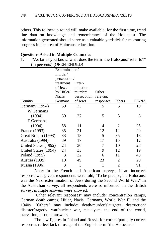others. This follow-up round will make available, for the first time, trend line data on knowledge and remembrance of the Holocaust. The information generated should serve as a valuable yardstick for measuring progress in the area of Holocaust education.

### **Questions Asked in Multiple Countries**

1. "As far as you know, what does the term `the Holocaust' refer to?" (in percents) (OPEN-ENDED)

|                      | Extermination/ |             |           |                |       |
|----------------------|----------------|-------------|-----------|----------------|-------|
|                      | murder/        |             |           |                |       |
|                      | persecution/   |             |           |                |       |
|                      | treatment      | Exter-      |           |                |       |
|                      | of Jews        | mination    |           |                |       |
|                      | by Hitler/     | murder/     | Other     |                |       |
|                      | Nazis/         | persecution | relevant  |                |       |
| Country              | Germans        | of Jews     | responses | Others         | DK/NA |
| Germany (1994)       | 59             | 23          | 5         | 3              | 10    |
| W.Germans            |                |             |           |                |       |
| (1994)               | 59             | 27          | 5         | 3              | 6     |
| E.Germans            |                |             |           |                |       |
| (1994)               | 58             | 11          | 4         | 2              | 25    |
| France (1993)        | 35             | 21          | 12        | 12             | 20    |
| Great Britain (1993) | 33             | 18          | 5         | 35             | 18    |
| Australia (1994)     | 39             | 17          | 17        | 15             | 12    |
| United States (1992) | 24             | 30          | 7         | 10             | 28    |
| United States (1994) | 24             | 35          | 9         | 12             | 19    |
| Poland (1995)        | 3              | 32          | 6         | 11             | 48    |
| Austria (1995)       | 10             | 49          | 23        | 2              | 20    |
| Russia (1996)        | 3              | 3           |           | $\overline{2}$ | 91    |

Note: In the French and American surveys, if an incorrect response was given, respondents were told, "To be precise, the Holocaust was the Nazi extermination of Jews during the Second World War." In the Australian survey, all respondents were so informed. In the British survey, multiple answers were allowed.

"Other relevant responses" may include: concentration camps, German death camps, Hitler, Nazis, Germans, World War II, and the 1940s. "Others" may include: death/murder/slaughter, destruction/ disaster/tragedy, war/nuclear war, cataclysm, the end of the world, starvation, or other answers.

The low figures in Poland and Russia for correct/partially correct responses reflect lack of usage of the English term "the Holocaust."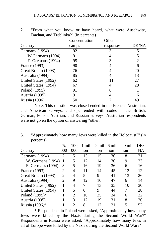| $B$ achae, and recommu. |           |       |
|-------------------------|-----------|-------|
| Concentration           | Other     |       |
| camps                   | responses | DK/NA |
| 92                      |           | 5     |
| 91                      |           | 5     |
| 95                      | 3         | 2     |
| 90                      |           | 6     |
| 76                      |           | 20    |
| 85                      |           | 13    |
| 62                      |           | 27    |
| 67                      |           | 28    |
| 91                      |           |       |
| 91                      |           | 6     |
| 50                      |           | 49    |
|                         |           | (111) |

2. "From what you know or have heard, what were Auschwitz, Dachau, and Treblinka?" (in percents)

Note: This question was closed-ended in the French, Australian, and American surveys, and open-ended with codes in the British, German, Polish, Austrian, and Russian surveys. Australian respondents were not given the option of answering "other."

3. "Approximately how many Jews were killed in the Holocaust?" (in percents)

|                      | 25,          | 100.                        | $1$ mil- |      | $2$ mil- 6 mil- | 20 mil- | DK/ |
|----------------------|--------------|-----------------------------|----------|------|-----------------|---------|-----|
| Country              | 000          | 000                         | lion     | lion | lion            | lion    | NA  |
| Germany (1994)       | 2            | 5                           | 13       | 15   | 36              | 8       | 21  |
| W. Germans (1994)    | $\mathbf{1}$ | 5                           | 12       | 14   | 36              | 9       | 23  |
| E. Germans (1994)    | 3            | 5                           | 16       | 19   | 36              | 6       | 16  |
| France (1993)        | 2            | 4                           | 11       | 14   | 45              | 12      | 12  |
| Great Britain (1993) | 2            | 4                           | 5        | 9    | 41              | 13      | 26  |
| Australia (1994)     | 2            | 9                           | 12       | 10   | 47              | 6       | 14  |
| United States (1992) |              | 4                           | 7        | 13   | 35              | 10      | 30  |
| United States (1994) |              | 5                           | 6        | 9    | 44              | 7       | 28  |
| Poland (1995)*       |              | 2                           | 10       | 25   | 34              | 6       | 22  |
| Austria (1995)       |              | 3                           | 12       | 19   | 31              | 8       | 26  |
| Russia (1996)*       |              | $\mathcal{D}_{\mathcal{A}}$ | 8        | 12.  | 21              |         | 52  |

\* Respondents in Poland were asked, "Approximately how many Jews were killed by the Nazis during the Second World War?" Respondents in Russia were asked, "Approximately how many Jews in all of Europe were killed by the Nazis during the Second World War?"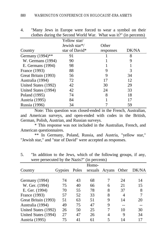|                      | Yellow star/               |           |       |
|----------------------|----------------------------|-----------|-------|
|                      | Jewish star <sup>*</sup> / | Other     |       |
| Country              | star of David*             | responses | DK/NA |
| Germany (1994)**     | 91                         |           | 8     |
| W. Germans (1994)    | 90                         |           | 9     |
| E. Germans (1994)    | 98                         |           |       |
| France (1993)        | 88                         | 9         |       |
| Great Britain (1993) | 56                         | 9         | 34    |
| Australia (1994)     | 72                         | 17        | 12    |
| United States (1992) | 42                         | 30        | 29    |
| United States (1994) | 42                         | 24        | 33    |
| Poland (1995)        | 74                         | 8         | 18    |
| Austria (1995)       | 84                         |           | 17    |
| Russia (1996)        | 34                         |           | 59    |

4. "Many Jews in Europe were forced to wear a symbol on their clothes during the Second World War. What was it?" (in percents)

Note: This question was closed-ended in the French, Australian, and American surveys, and open-ended with codes in the British, German, Polish, Austrian, and Russian surveys.

\* This response was not included in the Australian, French, and American questionnaires.

\*\* In Germany, Poland, Russia, and Austria, "yellow star," "Jewish star," and "star of David" were accepted as responses.

| were persecuted by the inazis?<br>(III percents) |         |       |       |                      |    |       |
|--------------------------------------------------|---------|-------|-------|----------------------|----|-------|
|                                                  |         |       | Homo- |                      |    |       |
| Country                                          | Gypsies | Poles |       | sexuals Aryans Other |    | DK/NA |
|                                                  |         |       |       |                      |    |       |
| Germany (1994)                                   | 74      | 43    | 68    | 7                    | 24 | 14    |
| W. Ger. (1994)                                   | 75      | 40    | 66    | 6                    | 21 | 15    |
| E. Ger. (1994)                                   | 70      | 55    | 78    | 8                    | 37 | 8     |
| France (1993)                                    | 57      | 52    | 33    | 8                    | 4  | 7     |
| Great Britain (1993)                             | 51      | 63    | 51    | 9                    | 14 | 20    |
| Australia (1994)                                 | 49      | 75    | 47    | 9                    |    |       |
| United States (1992)                             | 26      | 50    | 25    | $\tau$               | 10 | 30    |
| United States (1994)                             | 27      | 47    | 26    | 4                    | 9  | 34    |
| Austria (1995)                                   | 75      | 41    | 61    | 5                    | 14 | 17    |

5. "In addition to the Jews, which of the following groups, if any, were persecuted by the Negie?" (in percents)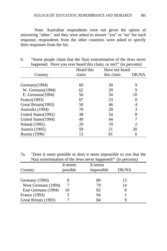Note: Australian respondents were not given the option of answering "other," and they were asked to answer "yes" or "no" for each response; respondents from the other countries were asked to specify their responses from the list.

| . .                  |            |                |       |
|----------------------|------------|----------------|-------|
|                      | Heard this | Have not heard |       |
| Country              | claim      | this claim     | DK/NA |
|                      |            |                |       |
| Germany(1994)        | 60         | 30             | 9     |
| W. Germans(1994)     | 62         | 29             | 9     |
| E. Germans(1994)     | 56         | 34             | 10    |
| France(1993)         | 67         | 33             |       |
| Great Britain(1993)  | 50         | 46             | 4     |
| Australia (1994)     | 70         | 28             | 3     |
| United States (1992) | 38         | 54             | 8     |
| United States (1994) | 49         | 44             | 7     |
| Poland (1995)        | 29         | 70             | 2     |
| Austria (1995)       | 59         | 21             | 20    |
| Russia (1996)        | 13         | 81             | 6     |
|                      |            |                |       |

6. "Some people claim that the Nazi extermination of the Jews never happened. Have you ever heard this claim, or not?" (in percents)

7a. "Does it seem possible or does it seem impossible to you that the Nazi extermination of the Jews never happened?" (in percents)

|                      | It seems | It seems   |       |  |
|----------------------|----------|------------|-------|--|
| Country              | possible | impossible | DK/NA |  |
|                      |          |            |       |  |
| Germany (1994)       |          | 80         | 13    |  |
| West Germans (1994)  |          | 79         | 14    |  |
| East Germans (1994)  | 10       | 82         |       |  |
| France (1993)        |          | 94         |       |  |
| Great Britain (1993) |          | 84         |       |  |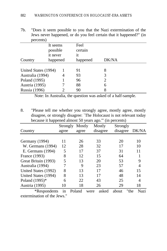7b. "Does it seem possible to you that the Nazi extermination of the Jews never happened, or do you feel certain that it happened?" (in percents)

|                      | It seems | Feel     |       |  |
|----------------------|----------|----------|-------|--|
|                      | possible | certain  |       |  |
|                      | it never | it       |       |  |
| Country              | happened | happened | DK/NA |  |
|                      |          |          |       |  |
| United States (1994) |          | 91       | 8     |  |
| Australia (1994)     |          | 93       | 3     |  |
| Poland (1995)        |          | 96       | 2     |  |
| Austria (1995)       |          | 88       | 6     |  |
| Russia (1996)        |          | 90       | 8     |  |

Note: In Australia, the question was asked of a half-sample.

8. "Please tell me whether you strongly agree, mostly agree, mostly disagree, or strongly disagree: `The Holocaust is not relevant today because it happened almost 50 years ago.'" (in percents)

|                            | Strongly | Mostly | Mostly        | Strongly |              |
|----------------------------|----------|--------|---------------|----------|--------------|
| Country                    | agree    | agree  | disagree      | disagree | DK/NA        |
|                            |          |        |               |          |              |
| Germany (1994)             | 11       | 26     | 33            | 20       | 10           |
| W. Germans (1994)          | 12       | 28     | 32            | 17       | 10           |
| E. Germans (1994)          | 5        | 17     | 37            | 31       | 11           |
| France (1993)              | 8        | 12     | 15            | 64       |              |
| Great Britain (1993)       | 5        | 13     | 20            | 53       | 9            |
| Australia (1994)           | 7        | 9      | 23            | 57       | 4            |
| United States (1992)       | 8        | 13     | 17            | 46       | 15           |
| United States (1994)       | 8        | 13     | 17            | 48       | 14           |
| Poland (1995)*             | 6        | 22     | 43            | 25       | 4            |
| Austria (1995)             | 10       | 18     | 26            | 29       | 18           |
| <i><b>*Respondents</b></i> | 1n       | Poland | asked<br>were | about    | "the<br>Nazi |

extermination of the Jews."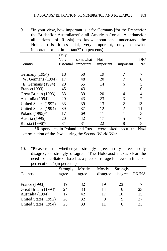9. "In your view, how important is it for Germans [for the French/for the British/for Australians/for all Americans/for all Austrians/for all citizens of Russia] to know about and understand the Holocaust--is it essential, very important, only somewhat important, or not important?" (in percents)

|                      | Only      |           |            |                |                |
|----------------------|-----------|-----------|------------|----------------|----------------|
|                      | Very      | somewhat  | <b>Not</b> |                | DK/            |
| Country              | Essential | important | important  | important      | <b>NA</b>      |
|                      |           |           |            |                |                |
| Germany (1994)       | 18        | 50        | 19         |                |                |
| W. Germans (1994)    | 17        | 48        | 20         |                | 8              |
| E. Germans (1994)    | 20        | 55        | 14         | 6              | 5              |
| France(1993)         | 45        | 43        | 11         |                |                |
| Great Britain (1993) | 33        | 39        | 20         |                |                |
| Australia (1994)     | 29        | 43        | 23         | 3              | $\overline{c}$ |
| United States (1992) | 33        | 39        | 13         | 2              | 13             |
| United States (1994) | 39        | 37        | 12         | $\mathfrak{D}$ | 11             |
| Poland (1995)*       | 17        | 69        | 11         |                | 3              |
| Austria (1995)       | 20        | 42        | 17         |                | 16             |
| Russia (1996)*       | 31        | 31        | 22         | 8              | 8              |

\*Respondents in Poland and Russia were asked about "the Nazi extermination of the Jews during the Second World War."

10. "Please tell me whether you strongly agree, mostly agree, mostly disagree, or strongly disagree: `The Holocaust makes clear the need for the State of Israel as a place of refuge for Jews in times of persecution.'" (in percents)

|                      | Strongly | Mostly | Mostly   | Strongly |       |
|----------------------|----------|--------|----------|----------|-------|
| Country              | agree    | agree  | disagree | disagree | DK/NA |
|                      |          |        |          |          |       |
| France (1993)        | 19       | 32     | 19       | 23       |       |
| Great Britain (1993) | 24       | 33     | 14       | 6        | 23    |
| Australia (1994)     | 17       | 42     | 17       | 10       | 15    |
| United States (1992) | 28       | 32     | 8        |          | 27    |
| United States (1994) | 25       | 33     |          | h        | 25    |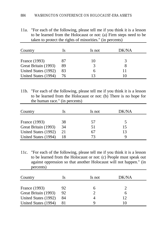11a. "For each of the following, please tell me if you think it is a lesson to be learned from the Holocaust or not: (a) Firm steps need to be taken to protect the rights of minorities." (in percents)

| Country              | ls | Is not | DK/NA |
|----------------------|----|--------|-------|
|                      |    |        |       |
| France (1993)        | 87 | IO.    | 3     |
| Great Britain (1993) | 89 | 3      |       |
| United States (1992) | 83 | h      |       |
| United States (1994) | 76 |        |       |

11b. "For each of the following, please tell me if you think it is a lesson to be learned from the Holocaust or not: (b) There is no hope for the human race." (in percents)

| Country              | ls | Is not | DK/NA |  |
|----------------------|----|--------|-------|--|
|                      |    |        |       |  |
| France (1993)        | 38 | 57     |       |  |
| Great Britain (1993) | 34 | 51     | 15    |  |
| United States (1992) | 21 | h/     | 13    |  |
| United States (1994) | 18 | 73     |       |  |

11c. "For each of the following, please tell me if you think it is a lesson to be learned from the Holocaust or not: (c) People must speak out against oppression so that another Holocaust will not happen." (in percents)

| Country              | ls | Is not | DK/NA |
|----------------------|----|--------|-------|
| France (1993)        | 92 | h      |       |
| Great Britain (1993) | 92 |        | h     |
| United States (1992) | 84 |        | 12    |
| United States (1994) | 81 |        |       |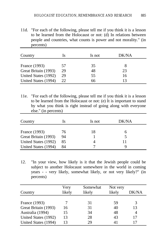11d. "For each of the following, please tell me if you think it is a lesson to be learned from the Holocaust or not: (d) In relations between people and countries, what counts is power and not morality." (in percents)

| Country              | ls | Is not | DK/NA |  |
|----------------------|----|--------|-------|--|
| France (1993)        | 57 | 35     |       |  |
| Great Britain (1993) | 29 | 48     | 23    |  |
| United States (1992) | 29 | 55     | 16    |  |
| United States (1994) | 22 | 66     | 13    |  |

11e. "For each of the following, please tell me if you think it is a lesson to be learned from the Holocaust or not: (e) It is important to stand by what you think is right instead of going along with everyone else." (in percents)

| Country              | ls | Is not | DK/NA |
|----------------------|----|--------|-------|
|                      |    |        |       |
| France (1993)        | 76 | 18     |       |
| Great Britain (1993) | 94 |        |       |
| United States (1992) | 85 |        |       |
| United States (1994) | 84 |        | q     |

12. "In your view, how likely is it that the Jewish people could be subject to another Holocaust somewhere in the world in coming years - - very likely, somewhat likely, or not very likely?" (in percents)

|                      | Very   | Somewhat | Not very |       |
|----------------------|--------|----------|----------|-------|
| Country              | likely | likely   | likely   | DK/NA |
|                      |        |          |          |       |
| France (1993)        |        | 31       | 59       |       |
| Great Britain (1993) | 16     | 31       | 40       | 13    |
| Australia (1994)     | 15     | 34       | 48       |       |
| United States (1992) | 13     | 28       | 43       | 17    |
| United States (1994) | 13     | 29       | 41       |       |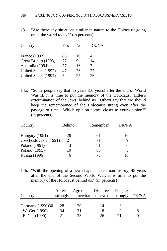13. "Are there any situations similar in nature to the Holocaust going on in the world today?" (in percents)

| Country              | Yes | Nο | DK/NA |
|----------------------|-----|----|-------|
|                      |     |    |       |
| France (1993)        | 86  | 10 |       |
| Great Britain (1993) | 77  |    | 14    |
| Australia (1994)     | 77  | 16 |       |
| United States (1992) | 47  | 26 | 27    |
| United States (1994) | 52  | 25 | 23    |

14a. "Some people say that 45 years [50 years] after the end of World War II, it is time to put the memory of the Holocaust, Hitler's extermination of the Jews, behind us. Others say that we should keep the remembrance of the Holocaust strong even after the passage of time. Which opinion comes closer to your opinion?" (in percents)

| Country               | <b>Behind</b> | Remember | DK/NA |  |
|-----------------------|---------------|----------|-------|--|
| Hungary (1991)        | 28            | 61       | 10    |  |
| Czechoslovakia (1991) | 21            | 71       |       |  |
| Poland (1991)         | 13            | 81       | 6     |  |
| Poland (1995)         | 10            | 85       |       |  |
| Russia (1996)         |               | 78       | 16    |  |

14b. "With the opening of a new chapter in German history, 45 years after the end of the Second World War, it is time to put the memory of the Holocaust behind us." (in percents)

| Country                                            | Agree          | Agree<br>strongly somewhat somewhat strongly DK/NA | Disagree       | Disagree |        |
|----------------------------------------------------|----------------|----------------------------------------------------|----------------|----------|--------|
| Germany (1990)30<br>W. Ger (1990)<br>E. Ger (1990) | 28<br>34<br>21 | 20<br>31<br>23                                     | 14<br>18<br>26 |          | 8<br>Q |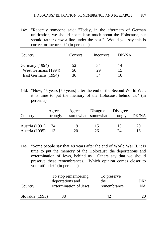14c. "Recently someone said: "Today, in the aftermath of German unification, we should not talk so much about the Holocaust, but should rather draw a line under the past." Would you say this is correct or incorrect?" (in percents)

| Country             | Correct | Incorrect | DK/NA |
|---------------------|---------|-----------|-------|
| Germany (1994)      | 52      | 34        | 14    |
| West Germans (1994) | 56      | 29        | 15    |
| East Germans (1994) | 36      | 54        |       |

14d. "Now, 45 years [50 years] after the end of the Second World War, it is time to put the memory of the Holocaust behind us." (in percents)

| Country        | Agree<br>strongly | Agree | Disagree<br>somewhat somewhat | Disagree<br>strongly | DK/NA |
|----------------|-------------------|-------|-------------------------------|----------------------|-------|
| Austria (1991) | -34               | 19    | 15                            | 13                   | 20    |
| Austria (1995) |                   | 20    | 26                            | $2\pi$               | 16    |

14e. "Some people say that 48 years after the end of World War II, it is time to put the memory of the Holocaust, the deportations and extermination of Jews, behind us. Others say that we should preserve these remembrances. Which opinion comes closer to your attitude?" (in percents)

| Country         | deportations and      | the         | DK/ |
|-----------------|-----------------------|-------------|-----|
|                 | extermination of Jews | remembrance | NА  |
| Slovakia (1993) | 38                    | 42          |     |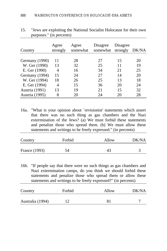| Country        | Agree<br>strongly | Agree<br>somewhat | Disagree<br>somewhat | Disagree<br>strongly | DK/NA |
|----------------|-------------------|-------------------|----------------------|----------------------|-------|
|                |                   |                   |                      |                      |       |
| Germany (1990) | 11                | 28                | 27                   | 15                   | 20    |
| W. Ger (1990)  | 13                | 32                | 25                   | 11                   | 19    |
| E. Ger (1990)  | 4                 | 16                | 34                   | 21                   | 25    |
| Germany (1994) | 15                | 24                | 27                   | 14                   | 20    |
| W. Ger (1994)  | 18                | 26                | 25                   | 13                   | 18    |
| E. Ger (1994)  | 4                 | 15                | 36                   | 20                   | 24    |
| Austria (1991) | 13                | 19                | 21                   | 15                   | 32    |
| Austria (1995) | 8                 | 20                | 24                   | 20                   | 28    |

15. "Jews are exploiting the National Socialist Holocaust for their own purposes." (in percents)

16a. "What is your opinion about `revisionist' statements which assert that there was no such thing as gas chambers and the Nazi extermination of the Jews? (a) We must forbid these statements and penalize those who spread them. (b) We must allow these statements and writings to be freely expressed." (in percents)

| Country       | Forbid | Allow | DK/NA |
|---------------|--------|-------|-------|
| France (1993) | 54     | 43    |       |

16b. "If people say that there were no such things as gas chambers and Nazi extermination camps, do you think we should forbid these statements and penalize those who spread them or allow these statements and writings to be freely expressed?" (in percents)

| Country          | Forbid | Allow | DK/NA |
|------------------|--------|-------|-------|
| Australia (1994) |        | 81    |       |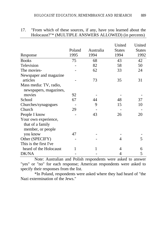|                          | Poland<br>1995 | Australia<br>1994 | United<br><b>States</b><br>1994 | United<br><b>States</b><br>1992 |
|--------------------------|----------------|-------------------|---------------------------------|---------------------------------|
| Response<br><b>Books</b> | 75             | 68                | 43                              | 42                              |
| Television               |                | 82                | 58                              | 50                              |
|                          |                | 62                |                                 | 24                              |
| The movies-              |                |                   | 33                              |                                 |
| Newspaper and magazine   |                |                   |                                 |                                 |
| articles                 |                | 73                | 35                              | 31                              |
| Mass media: TV, radio,   |                |                   |                                 |                                 |
| newspapers, magazines,   |                |                   |                                 |                                 |
| movies                   | 92             |                   |                                 |                                 |
| School                   | 67             | 44                | 48                              | 37                              |
| Churches/synagogues      |                | 9                 | 15                              | 10                              |
| Church                   | 29             |                   |                                 |                                 |
| People I know            |                | 43                | 26                              | 20                              |
| Your own experience,     |                |                   |                                 |                                 |
| that of a family         |                |                   |                                 |                                 |
| member, or people        |                |                   |                                 |                                 |
| you know                 | 47             |                   |                                 |                                 |
| Other (SPECIFY)          |                |                   | 4                               | 5                               |
| This is the first I've   |                |                   |                                 |                                 |
| heard of the Holocaust   | 1              |                   | 4                               | 6                               |
| DK/NA                    |                |                   | 4                               | 5                               |

17. "From which of these sources, if any, have you learned about the Holocaust?"\* (MULTIPLE ANSWERS ALLOWED) (in percents)

Note: Australian and Polish respondents were asked to answer "yes" or "no" for each response; American respondents were asked to specify their responses from the list.

\*In Poland, respondents were asked where they had heard of "the Nazi extermination of the Jews."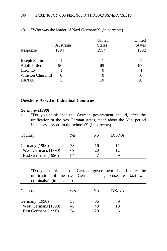| Response                 | Australia<br>1994 | United<br><b>States</b><br>1994 | United<br><b>States</b><br>1992 |
|--------------------------|-------------------|---------------------------------|---------------------------------|
| Joseph Stalin            |                   |                                 |                                 |
| <b>Adolf Hitler</b>      | 96                | 89                              | 87                              |
| Hirohito                 |                   |                                 |                                 |
| <b>Winston Churchill</b> | 0                 |                                 |                                 |
| DK/NA                    | 3                 | 10                              | 10                              |

### 18. "Who was the leader of Nazi Germany?" (in percents)

# **Questions Asked in Individual Countries**

## *Germany (1990)*

1. "Do you think that the German government should, after the unification of the two German states, teach about the Nazi period in history lessons in the schools?" (in percents)

| Country                               | Yes      | Nο       | DK/NA |  |
|---------------------------------------|----------|----------|-------|--|
| Germany (1990)<br>West Germans (1990) | 73<br>69 | 16<br>20 | 12    |  |
| East Germans (1990)                   | 84       |          | u     |  |

2. "Do you think that the German government should, after the unification of the two German states, prosecute Nazi war criminals?" (in percents)

| Country             | Yes | Nο | DK/NA |  |
|---------------------|-----|----|-------|--|
| Germany (1990)      | 55  | 36 | Ч     |  |
| West Germans (1990) | 48  | 43 | 10    |  |
| East Germans (1990) | 74  | 20 | n     |  |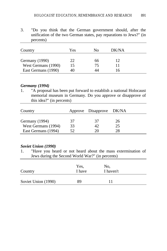3. "Do you think that the German government should, after the unification of the two German states, pay reparations to Jews?" (in percents)

| Country                                                      | Yes      | Nο       | DK/NA    |  |
|--------------------------------------------------------------|----------|----------|----------|--|
| Germany (1990)<br>West Germans (1990)<br>East Germans (1990) | 22<br>15 | 66<br>75 | 12<br>16 |  |

### *Germany (1994)*

1. "A proposal has been put forward to establish a national Holocaust memorial museum in Germany. Do you approve or disapprove of this idea?" (in percents)

| Country             |    | Approve Disapprove DK/NA |    |
|---------------------|----|--------------------------|----|
| Germany (1994)      | 37 | 37                       | 26 |
| West Germans (1994) | 33 |                          | 25 |
| East Germans (1994) | 52 |                          | 28 |

### *Soviet Union (1990)*

1. "Have you heard or not heard about the mass extermination of Jews during the Second World War?" (in percents)

| Country             | Yes,<br>I have | No.<br>I haven't |
|---------------------|----------------|------------------|
| Soviet Union (1990) | 89             |                  |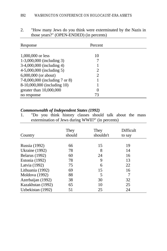| Response                       | Percent  |  |
|--------------------------------|----------|--|
|                                |          |  |
| $1,000,000$ or less            | 10       |  |
| 1-3,000,000 (including 3)      | 7        |  |
| 3-4,000,000 (including 4)      |          |  |
| 4-5,000,000 (including 5)      | 2        |  |
| $6,000,000$ (or about)         | 2        |  |
| 7-8,000,000 (including 7 or 8) |          |  |
| 8-10,000,000 (including 10)    |          |  |
| greater than $10,000,000$      | $\theta$ |  |
| no response                    | 73       |  |

2. "How many Jews do you think were exterminated by the Nazis in those years?" (OPEN-ENDED) (in percents)

# *Commonwealth of Independent States (1992)*

1. "Do you think history classes should talk about the mass extermination of Jews during WWII?" (in percents)

| Country               | They<br>should | They<br>shouldn't | Difficult<br>to say |
|-----------------------|----------------|-------------------|---------------------|
| Russia (1992)         | 66             | 15                | 19                  |
| <b>Ukraine</b> (1992) | 78             | 8                 | 14                  |
| <b>Belarus</b> (1992) | 60             | 24                | 16                  |
| Estonia (1992)        | 78             | 9                 | 13                  |
| Latvia (1992)         | 75             | 6                 | 22                  |
| Lithuania (1992)      | 69             | 15                | 16                  |
| Moldova (1992)        | 88             | 5                 | 7                   |
| Azerbaijan (1992)     | 38             | 30                | 32                  |
| Kazakhstan (1992)     | 65             | 10                | 25                  |
| Uzbekistan (1992)     | 51             | 25                | 24                  |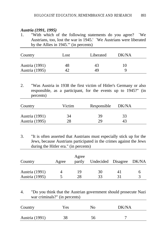# *Austria (1991, 1995)*

1. "With which of the following statements do you agree? `We Austrians, too, lost the war in 1945.' `We Austrians were liberated by the Allies in 1945.'" (in percents)

| Country                          | Lost | Liberated | DK/NA   |  |
|----------------------------------|------|-----------|---------|--|
| Austria (1991)<br>Austria (1995) | 48   | 43<br>49  | 10<br>a |  |

2. "Was Austria in 1938 the first victim of Hitler's Germany or also responsible, as a participant, for the events up to 1945?" (in percents)

| Country        | Victim | Responsible | DK/NA |  |
|----------------|--------|-------------|-------|--|
| Austria (1991) | 34     | 39          | 33    |  |
| Austria (1995) | 28     | 29          | 43    |  |

3. "It is often asserted that Austrians must especially stick up for the Jews, because Austrians participated in the crimes against the Jews during the Hitler era." (in percents)

|                |       | Agree  |                          |    |  |
|----------------|-------|--------|--------------------------|----|--|
| Country        | Agree | partly | Undecided Disagree DK/NA |    |  |
|                |       |        |                          |    |  |
| Austria (1991) |       | 19     | 30                       | 41 |  |
| Austria (1995) |       | 28     | 33                       | 31 |  |

4. "Do you think that the Austrian government should prosecute Nazi war criminals?" (in percents)

| Country        | Yes. | No | DK/NA |  |
|----------------|------|----|-------|--|
| Austria (1991) | 38   | 56 |       |  |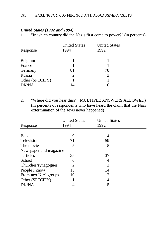| Response        | <b>United States</b><br>1994 | <b>United States</b><br>1992 |  |
|-----------------|------------------------------|------------------------------|--|
|                 |                              |                              |  |
| Belgium         |                              |                              |  |
| France          |                              |                              |  |
| Germany         | 81                           | 78                           |  |
| Russia          | $\mathcal{D}_{\cdot}$        | 3                            |  |
| Other (SPECIFY) |                              |                              |  |
| DK/NA           | 14                           | 16                           |  |

# *United States (1992 and 1994)*

1. "In which country did the Nazis first come to power?" (in percents)

2. "Where did you hear this?" (MULTIPLE ANSWERS ALLOWED) (in percents of respondents who have heard the claim that the Nazi extermination of the Jews never happened)

| Response               | <b>United States</b><br>1994 | <b>United States</b><br>1992 |  |
|------------------------|------------------------------|------------------------------|--|
|                        |                              |                              |  |
| <b>Books</b>           | 9                            | 14                           |  |
| Television             | 71                           | 59                           |  |
| The movies             | 5                            | 5                            |  |
| Newspaper and magazine |                              |                              |  |
| articles               | 35                           | 37                           |  |
| School                 | 6                            | 4                            |  |
| Churches/synagogues    | 2                            | 2                            |  |
| People I know          | 15                           | 14                           |  |
| From neo-Nazi groups   | 10                           | 12                           |  |
| Other (SPECIFY)        |                              | 4                            |  |
| <b>DK/NA</b>           |                              | 5                            |  |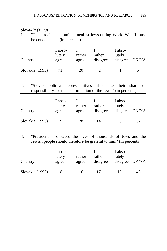# *Slovakia (1993)*

| "The atrocities committed against Jews during World War II must |  |  |
|-----------------------------------------------------------------|--|--|
| be condemned." (in percents)                                    |  |  |
|                                                                 |  |  |

|                 | I abso-<br>lutely | rather | rather   | I abso-<br>lutely |  |
|-----------------|-------------------|--------|----------|-------------------|--|
| Country         | agree             | agree  | disagree | disagree DK/NA    |  |
|                 |                   |        |          |                   |  |
| Slovakia (1993) |                   | 20     |          |                   |  |

2. "Slovak political representatives also take their share of responsibility for the extermination of the Jews." (in percents)

| Country         | I abso-<br>lutely<br>agree | rather<br>agree | rather<br>disagree | I abso-<br>lutely<br>disagree DK/NA |    |
|-----------------|----------------------------|-----------------|--------------------|-------------------------------------|----|
| Slovakia (1993) | 19                         | 28              | 14                 |                                     | 32 |

3. "President Tiso saved the lives of thousands of Jews and the Jewish people should therefore be grateful to him." (in percents)

| Country         | I abso-<br>lutely<br>agree | rather<br>agree | rather<br>disagree | I abso-<br>lutely<br>disagree DK/NA |    |
|-----------------|----------------------------|-----------------|--------------------|-------------------------------------|----|
| Slovakia (1993) |                            | 16              |                    | 16                                  | 43 |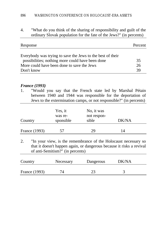4. "What do you think of the sharing of responsibility and guilt of the ordinary Slovak population for the fate of the Jews?" (in percents)

| Response                                                                                                       | Percent |
|----------------------------------------------------------------------------------------------------------------|---------|
| Everybody was trying to save the Jews to the best of their<br>possibilities; nothing more could have been done | 35      |
| More could have been done to save the Jews                                                                     | 26      |
| Don't know                                                                                                     | 39      |

#### *France (1993)*

1. "Would you say that the French state led by Marshal Pétain between 1940 and 1944 was responsible for the deportation of Jews to the extermination camps, or not responsible?" (in percents)

| Country       | Yes, it<br>was re-<br>sponsible | No, it was<br>not respon-<br>sible | DK/NA |  |
|---------------|---------------------------------|------------------------------------|-------|--|
| France (1993) | 57                              | 29                                 | 14    |  |

2. "In your view, is the remembrance of the Holocaust necessary so that it doesn't happen again, or dangerous because it risks a revival of anti-Semitism?" (in percents)

| Country       | Necessary | Dangerous | DK/NA |  |
|---------------|-----------|-----------|-------|--|
| France (1993) |           |           |       |  |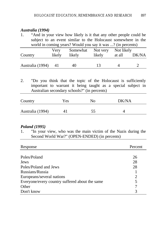#### *Australia (1994)*

1. "And in your view how likely is it that any other people could be subject to an event similar to the Holocaust somewhere in the world in coming years? Would you say it was ...? (in percents) Very Somewhat Not very Not likely

| Country             | likelv | likely | likely | at all | DK/NA |
|---------------------|--------|--------|--------|--------|-------|
|                     |        |        |        |        |       |
| Australia (1994) 41 |        | 40     |        |        |       |

2. "Do you think that the topic of the Holocaust is sufficiently important to warrant it being taught as a special subject in Australian secondary schools?" (in percents)

| Country          | Yes | No | DK/NA |
|------------------|-----|----|-------|
| Australia (1994) | 41  | 55 |       |

#### *Poland (1995)*

1. "In your view, who was the main victim of the Nazis during the Second World War?" (OPEN-ENDED) (in percents)

| Response                                       | Percent        |
|------------------------------------------------|----------------|
|                                                |                |
| Poles/Poland                                   | 26             |
| Jews                                           | 28             |
| Poles/Poland and Jews                          | 28             |
| Russians/Russia                                |                |
| Europeans/several nations                      | $\overline{2}$ |
| Everyone/every country suffered about the same | 5              |
| Other                                          |                |
| Don't know                                     | 3              |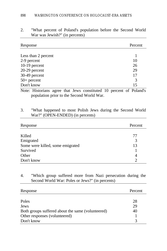| Response            | Percent |
|---------------------|---------|
|                     |         |
| Less than 2 percent |         |
| 2-9 percent         | 10      |
| $10-19$ percent     | 26      |
| 20-29 percent       | 29      |
| 30-49 percent       | 17      |
| $50+$ percent       | 3       |
| Don't know          | 15      |

2. "What percent of Poland's population before the Second World War was Jewish?" (in percents)

Note: Historians agree that Jews constituted 10 percent of Poland's population prior to the Second World War.

# 3. "What happened to most Polish Jews during the Second World War?" (OPEN-ENDED) (in percents)

| Response                         | Percent |
|----------------------------------|---------|
|                                  |         |
| Killed                           | 77      |
| Emigrated                        | 3       |
| Some were killed, some emigrated | 13      |
| Survived                         |         |
| Other                            | 4       |
| Don't know                       |         |

4. "Which group suffered more from Nazi persecution during the Second World War: Poles or Jews?" (in percents)

| Response                                          | Percent |
|---------------------------------------------------|---------|
|                                                   |         |
| Poles                                             | 28      |
| Jews                                              | 29      |
| Both groups suffered about the same (volunteered) | 40      |
| Other responses (volunteered)                     |         |
| Don't know                                        |         |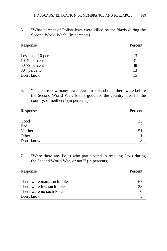| Response             | Percent |
|----------------------|---------|
| Less than 10 percent | 3       |
| $10-49$ percent      | 31      |
| 50-79 percent        | 38      |
| $80+$ percent        | 13      |
| Don't know           | 15      |

5. "What percent of Polish Jews were killed by the Nazis during the Second World War?" (in percents)

6. "There are now many fewer Jews in Poland than there were before the Second World War. Is this good for the country, bad for the country, or neither?" (in percents)

| Response   | Percent |
|------------|---------|
|            |         |
| Good       | 35      |
| Bad        | 5       |
| Neither    | 51      |
| Other      |         |
| Don't know | 8       |

7. "Were there any Poles who participated in rescuing Jews during the Second World War, or not?" (in percents)

| Response                   | Percent |
|----------------------------|---------|
|                            |         |
| There were many such Poles | 6.      |
| There were few such Poles  | 28      |
| There were no such Poles   |         |
| Don't know                 |         |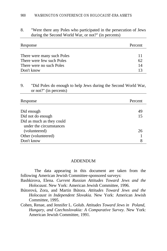# 8. "Were there any Poles who participated in the persecution of Jews during the Second World War, or not?" (in percents)

| Response                   | Percent |
|----------------------------|---------|
|                            |         |
| There were many such Poles |         |
| There were few such Poles  | 62      |
| There were no such Poles   | 14      |
| Don't know                 |         |

# 9. "Did Poles do enough to help Jews during the Second World War, or not?" (in percents)

| Response                  | Percent |
|---------------------------|---------|
|                           |         |
| Did enough                | 49      |
| Did not do enough         | 15      |
| Did as much as they could |         |
| under the circumstances   |         |
| (volunteered)             | 26      |
| Other (volunteered)       |         |
| Don't know                | 8       |

#### ADDENDUM

The data appearing in this document are taken from the following American Jewish Committee-sponsored surveys:

- Bashkirova, Elena. *Current Russian Attitudes Toward Jews and the Holocaust*. New York: American Jewish Committee, 1996.
- Bútorová, Zora, and Martin Bútora. *Attitudes Toward Jews and the Holocaust in Independent Slovakia.* New York: American Jewish Committee, 1995.
- Cohen, Renae, and Jennifer L. Golub. *Attitudes Toward Jews in Poland, Hungary, and Czechoslovakia: A Comparative Survey.* New York: American Jewish Committee, 1991.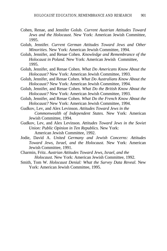- Cohen, Renae, and Jennifer Golub. *Current Austrian Attitudes Toward Jews and the Holocaust.* New York: American Jewish Committee, 1995.
- Golub, Jennifer. *Current German Attitudes Toward Jews and Other Minorities.* New York: American Jewish Committee, 1994.
- Golub, Jennifer, and Renae Cohen. *Knowledge and Remembrance of the Holocaust in Poland.* New York: American Jewish Committee, 1995.
- Golub, Jennifer, and Renae Cohen. *What Do Americans Know About the Holocaust?* New York: American Jewish Committee, 1993.
- Golub, Jennifer, and Renae Cohen. *What Do Australians Know About the Holocaust?* New York: American Jewish Committee, 1994.
- Golub, Jennifer, and Renae Cohen. *What Do the British Know About the Holocaust?* New York: American Jewish Committee, 1993.
- Golub, Jennifer, and Renae Cohen. *What Do the French Know About the Holocaust?* New York: American Jewish Committee, 1994.
- Gudkov, Lev, and Alex Levinson. *Attitudes Toward Jews in the Commonwealth of Independent States.* New York: American Jewish Committee, 1994.
- Gudkov, Lev, and Alex Levinson. *Attitudes Toward Jews in the Soviet Union: Public Opinion in Ten Republics.* New York: American Jewish Committee, 1992.
- Jodie, David A. *United Germany and Jewish Concerns: Attitudes Toward Jews, Israel, and the Holocaust.* New York: American Jewish Committee, 1991.
- Charmin, Fritz. *Austrian Attitudes Toward Jews, Israel, and the Holocaust.* New York: American Jewish Committee, 1992.
- Smith, Tom W. *Holocaust Denial: What the Survey Data Reveal.* New York: American Jewish Committee, 1995.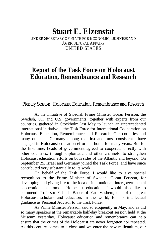# **Stuart E. Eizenstat** UNDER SECRETARY OF STATE FOR ECONOMIC, BUSINESS AND AGRICULTURAL AFFAIRS UNITED STATES

# **Report of the Task Force on Holocaust Education, Remembrance and Research**

Plenary Session: Holocaust Education, Remembrance and Research

At the initiative of Swedish Prime Minister Goran Persson, the Swedish, UK and U.S. governments, together with experts from our countries, gathered in Stockholm last May to launch an unprecedented international initiative -- the Task Force for International Cooperation on Holocaust Education, Remembrance and Research. Our countries and many others -- Germany among the first and most consistent-- have engaged in Holocaust education efforts at home for many years. But for the first time, heads of government agreed to cooperate directly with other countries, through diplomatic and other channels, to strengthen Holocaust education efforts on both sides of the Atlantic and beyond. On September 25, Israel and Germany joined the Task Force, and have since contributed very substantially to its work.

On behalf of the Task Force, I would like to give special recognition to the Prime Minister of Sweden, Goran Persson, for developing and giving life to the idea of international, intergovernmental cooperation to promote Holocaust education. I would also like to commend Professor Yehuda Bauer of Yad Vashem, one of the great Holocaust scholars and educators in the world, for his intellectual guidance as Personal Advisor to the Task Force.

As Prime Minister Persson said so eloquently in May, and as did so many speakers at the remarkable half-day breakout session held at the Museum yesterday, Holocaust education and remembrance can help ensure that the crimes of the Holocaust are never forgotten nor repeated. As this century comes to a close and we enter the new millennium, our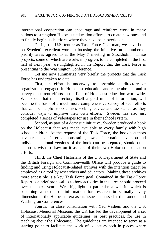international cooperation can encourage and reinforce work in many nations to strengthen Holocaust education efforts, to create new ones and to finally begin such efforts where they have been overlooked.

During the U.S. tenure as Task Force Chairman, we have built on Sweden's excellent work in focusing the initiative on a number of priority areas agreed to at the May 7 meeting in Stockholm. These projects, some of which are works in progress to be completed in the first half of next year, are highlighted in the Report that the Task Force is presenting to the Washington Conference.

Let me now summarize very briefly the projects that the Task Force has undertaken to date.

First, an effort is underway to assemble a directory of organizations engaged in Holocaust education and remembrance and a survey of current efforts in the field of Holocaust education worldwide. We expect that the directory, itself a gold mine of information, will become the basis of a much more comprehensive survey of such efforts that can be helpful to countries seeking advice and assistance as they consider ways to improve their own efforts. Sweden has also just completed a series of videotapes for use in their school system.

Second, as part of a domestic initiative, Sweden produced a book on the Holocaust that was made available to every family with high school children. At the request of the Task Force, the book's authors have created an insert demonstrating how an international version and individual national versions of the book can be prepared, should other countries wish to draw on it as part of their own Holocaust education efforts.

Third, the Chief Historians of the U.S. Department of State and the British Foreign and Commonwealth Office will produce a guide to finding and using Holocaust-related archives with the intention that it be employed as a tool by researchers and educators. Making these archives more accessible is a key Task Force goal. Contained in the Task Force Report is a brief proposal as to how activities in this area should proceed over the next year. We highlight in particular a website which is becoming a nexus of information for research in virtually every dimension of the Holocaust-era assets issues discussed at the London and Washington Conferences.

Fourth, in close consultation with Yad Vashem and the U.S. Holocaust Memorial Museum, the UK has led the development of a set of internationally applicable guidelines, or best practices, for use in teaching about the Holocaust. The guidelines are intended to serve as a starting point to facilitate the work of educators both in places where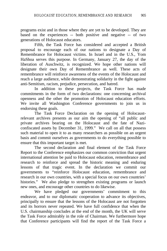programs exist and in those where they are yet to be developed. They are based on the experiences -- both positive and negative -- of two generations of Holocaust educators.

Fifth, the Task Force has considered and accepted a British proposal to encourage each of our nations to designate a Day of Remembrance for Holocaust victims. In Israel and in the U.S., Yom HaShoa serves this purpose. In Germany, January 27, the day of the liberation of Auschwitz, is recognized. We hope other nations will designate their own Day of Remembrance as well. These acts of remembrance will reinforce awareness of the events of the Holocaust and reach a large audience, while demonstrating solidarity in the fight against anti-Semitism, racism, prejudice, persecution, and hatred.

In addition to these projects, the Task Force has made commitments in the form of two declarations: one concerning archival openness and the other the promotion of Holocaust education efforts. We invite all Washington Conference governments to join us in endorsing these goals.

The Task Force Declaration on the opening of Holocaustrelevant archives presents as our aim the opening of "all public and private archives bearing on the Holocaust and the fate of Naziconfiscated assets by December 31, 1999." We call on all that possess such material to open it to as many researchers as possible on an urgent basis and commit ourselves as governments to do everything possible to ensure that this important target is met.

The second declaration and final element of the Task Force Report to the Conference emphasizes our common conviction that urgent international attention be paid to Holocaust education, remembrance and research to reinforce and spread the historic meaning and enduring lessons of that tragic event. In the declaration we commit our governments to "reinforce Holocaust education, remembrance and research in our own countries, with a special focus on our own countries' histories." We also pledge to strengthen existing programs or launch new ones, and encourage other countries to do likewise.

We have pledged our governments' commitment to this endeavor, and to our diplomatic cooperation to advance its objectives, principally to ensure that the lessons of the Holocaust are not forgotten and its horrors never repeated. We have full confidence that when the U.S. chairmanship concludes at the end of the month, the UK will serve the Task Force admirably in the role of Chairman. We furthermore hope that Conference participants will find the report of the Task Force a